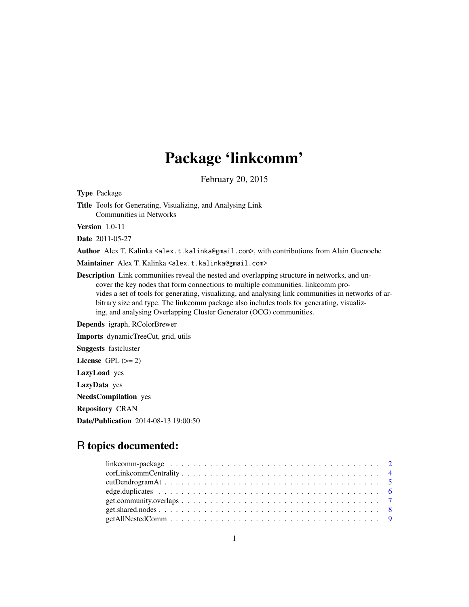## Package 'linkcomm'

February 20, 2015

<span id="page-0-0"></span>Type Package Title Tools for Generating, Visualizing, and Analysing Link Communities in Networks Version 1.0-11

Date 2011-05-27

Author Alex T. Kalinka <alex.t.kalinka@gmail.com>, with contributions from Alain Guenoche

Maintainer Alex T. Kalinka <alex.t.kalinka@gmail.com>

Description Link communities reveal the nested and overlapping structure in networks, and uncover the key nodes that form connections to multiple communities. linkcomm provides a set of tools for generating, visualizing, and analysing link communities in networks of arbitrary size and type. The linkcomm package also includes tools for generating, visualizing, and analysing Overlapping Cluster Generator (OCG) communities.

Depends igraph, RColorBrewer

Imports dynamicTreeCut, grid, utils Suggests fastcluster License GPL  $(>= 2)$ LazyLoad yes LazyData yes NeedsCompilation yes Repository CRAN Date/Publication 2014-08-13 19:00:50

## R topics documented:

| linkcomm-package $\ldots \ldots \ldots \ldots \ldots \ldots \ldots \ldots \ldots \ldots \ldots \ldots \ldots 2$ |  |
|-----------------------------------------------------------------------------------------------------------------|--|
|                                                                                                                 |  |
|                                                                                                                 |  |
|                                                                                                                 |  |
|                                                                                                                 |  |
|                                                                                                                 |  |
|                                                                                                                 |  |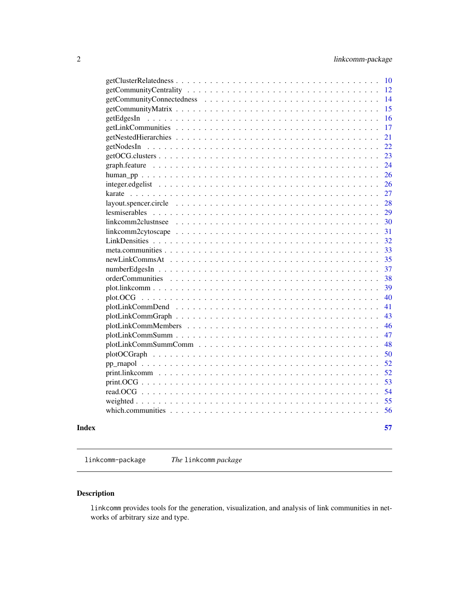<span id="page-1-0"></span>

| linkcomm2clustnsee<br>plotLinkCommSumm |  |  |  |  |  |  |  |  |  |  |  |  |  |  |  |  |  |  |  |  |
|----------------------------------------|--|--|--|--|--|--|--|--|--|--|--|--|--|--|--|--|--|--|--|--|
|                                        |  |  |  |  |  |  |  |  |  |  |  |  |  |  |  |  |  |  |  |  |
|                                        |  |  |  |  |  |  |  |  |  |  |  |  |  |  |  |  |  |  |  |  |
|                                        |  |  |  |  |  |  |  |  |  |  |  |  |  |  |  |  |  |  |  |  |
|                                        |  |  |  |  |  |  |  |  |  |  |  |  |  |  |  |  |  |  |  |  |
|                                        |  |  |  |  |  |  |  |  |  |  |  |  |  |  |  |  |  |  |  |  |
|                                        |  |  |  |  |  |  |  |  |  |  |  |  |  |  |  |  |  |  |  |  |
|                                        |  |  |  |  |  |  |  |  |  |  |  |  |  |  |  |  |  |  |  |  |
|                                        |  |  |  |  |  |  |  |  |  |  |  |  |  |  |  |  |  |  |  |  |
|                                        |  |  |  |  |  |  |  |  |  |  |  |  |  |  |  |  |  |  |  |  |
|                                        |  |  |  |  |  |  |  |  |  |  |  |  |  |  |  |  |  |  |  |  |
|                                        |  |  |  |  |  |  |  |  |  |  |  |  |  |  |  |  |  |  |  |  |
|                                        |  |  |  |  |  |  |  |  |  |  |  |  |  |  |  |  |  |  |  |  |
|                                        |  |  |  |  |  |  |  |  |  |  |  |  |  |  |  |  |  |  |  |  |
|                                        |  |  |  |  |  |  |  |  |  |  |  |  |  |  |  |  |  |  |  |  |
|                                        |  |  |  |  |  |  |  |  |  |  |  |  |  |  |  |  |  |  |  |  |
|                                        |  |  |  |  |  |  |  |  |  |  |  |  |  |  |  |  |  |  |  |  |
|                                        |  |  |  |  |  |  |  |  |  |  |  |  |  |  |  |  |  |  |  |  |
|                                        |  |  |  |  |  |  |  |  |  |  |  |  |  |  |  |  |  |  |  |  |
|                                        |  |  |  |  |  |  |  |  |  |  |  |  |  |  |  |  |  |  |  |  |
|                                        |  |  |  |  |  |  |  |  |  |  |  |  |  |  |  |  |  |  |  |  |
|                                        |  |  |  |  |  |  |  |  |  |  |  |  |  |  |  |  |  |  |  |  |
|                                        |  |  |  |  |  |  |  |  |  |  |  |  |  |  |  |  |  |  |  |  |
|                                        |  |  |  |  |  |  |  |  |  |  |  |  |  |  |  |  |  |  |  |  |
|                                        |  |  |  |  |  |  |  |  |  |  |  |  |  |  |  |  |  |  |  |  |
|                                        |  |  |  |  |  |  |  |  |  |  |  |  |  |  |  |  |  |  |  |  |
|                                        |  |  |  |  |  |  |  |  |  |  |  |  |  |  |  |  |  |  |  |  |
|                                        |  |  |  |  |  |  |  |  |  |  |  |  |  |  |  |  |  |  |  |  |
|                                        |  |  |  |  |  |  |  |  |  |  |  |  |  |  |  |  |  |  |  |  |
|                                        |  |  |  |  |  |  |  |  |  |  |  |  |  |  |  |  |  |  |  |  |
|                                        |  |  |  |  |  |  |  |  |  |  |  |  |  |  |  |  |  |  |  |  |
| getEdgesIn                             |  |  |  |  |  |  |  |  |  |  |  |  |  |  |  |  |  |  |  |  |
|                                        |  |  |  |  |  |  |  |  |  |  |  |  |  |  |  |  |  |  |  |  |
|                                        |  |  |  |  |  |  |  |  |  |  |  |  |  |  |  |  |  |  |  |  |
|                                        |  |  |  |  |  |  |  |  |  |  |  |  |  |  |  |  |  |  |  |  |

linkcomm-package *The* linkcomm *package*

## Description

linkcomm provides tools for the generation, visualization, and analysis of link communities in networks of arbitrary size and type.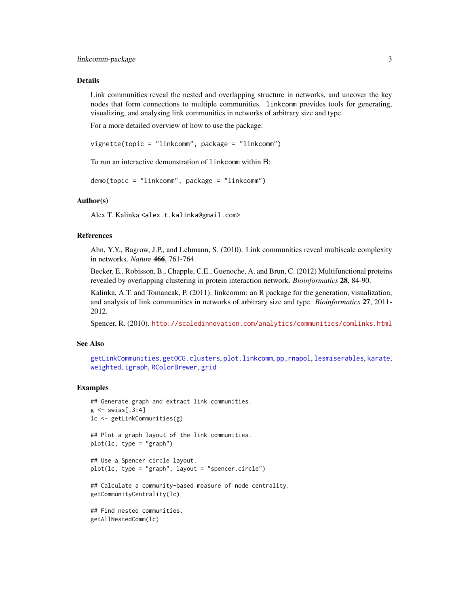#### <span id="page-2-0"></span>Details

Link communities reveal the nested and overlapping structure in networks, and uncover the key nodes that form connections to multiple communities. linkcomm provides tools for generating, visualizing, and analysing link communities in networks of arbitrary size and type.

For a more detailed overview of how to use the package:

vignette(topic = "linkcomm", package = "linkcomm")

To run an interactive demonstration of linkcomm within R:

```
demo(topic = "linkcomm", package = "linkcomm")
```
#### Author(s)

Alex T. Kalinka <alex.t.kalinka@gmail.com>

## References

Ahn, Y.Y., Bagrow, J.P., and Lehmann, S. (2010). Link communities reveal multiscale complexity in networks. *Nature* 466, 761-764.

Becker, E., Robisson, B., Chapple, C.E., Guenoche, A. and Brun, C. (2012) Multifunctional proteins revealed by overlapping clustering in protein interaction network. *Bioinformatics* 28, 84-90.

Kalinka, A.T. and Tomancak, P. (2011). linkcomm: an R package for the generation, visualization, and analysis of link communities in networks of arbitrary size and type. *Bioinformatics* 27, 2011- 2012.

Spencer, R. (2010). <http://scaledinnovation.com/analytics/communities/comlinks.html>

#### See Also

```
getLinkCommunities, getOCG.clusters, plot.linkcomm, pp_rnapol, lesmiserables, karate,
weighted, igraph, RColorBrewer, grid
```
#### Examples

```
## Generate graph and extract link communities.
g \leftarrow swiss[,3:4]
lc <- getLinkCommunities(g)
## Plot a graph layout of the link communities.
plot(lc, type = "graph")## Use a Spencer circle layout.
plot(lc, type = "graph", layout = "spencer.circle")
## Calculate a community-based measure of node centrality.
getCommunityCentrality(lc)
## Find nested communities.
getAllNestedComm(lc)
```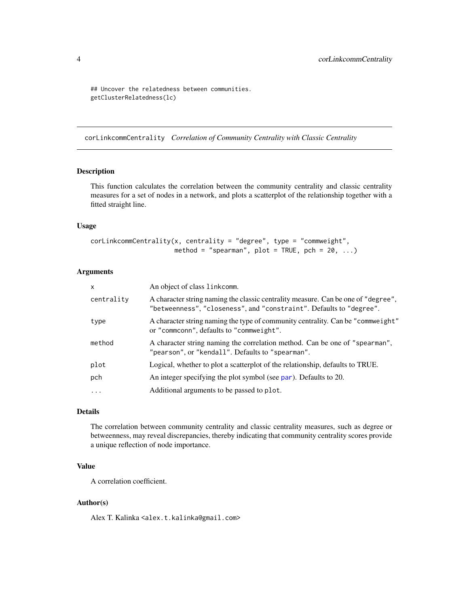```
## Uncover the relatedness between communities.
getClusterRelatedness(lc)
```
corLinkcommCentrality *Correlation of Community Centrality with Classic Centrality*

#### Description

This function calculates the correlation between the community centrality and classic centrality measures for a set of nodes in a network, and plots a scatterplot of the relationship together with a fitted straight line.

#### Usage

```
corLinkcommCentrality(x, centrality = "degree", type = "commweight",
                      method = "spearman", plot = TRUE, pch = 20, ...)
```
## Arguments

| $\mathsf{x}$ | An object of class linkcomm.                                                                                                                             |
|--------------|----------------------------------------------------------------------------------------------------------------------------------------------------------|
| centrality   | A character string naming the classic centrality measure. Can be one of "degree",<br>"betweenness", "closeness", and "constraint". Defaults to "degree". |
| type         | A character string naming the type of community centrality. Can be "commweight"<br>or "commconn", defaults to "commweight".                              |
| method       | A character string naming the correlation method. Can be one of "spearman",<br>"pearson", or "kendall". Defaults to "spearman".                          |
| plot         | Logical, whether to plot a scatterplot of the relationship, defaults to TRUE.                                                                            |
| pch          | An integer specifying the plot symbol (see par). Defaults to 20.                                                                                         |
| $\cdots$     | Additional arguments to be passed to plot.                                                                                                               |

## Details

The correlation between community centrality and classic centrality measures, such as degree or betweenness, may reveal discrepancies, thereby indicating that community centrality scores provide a unique reflection of node importance.

## Value

A correlation coefficient.

## Author(s)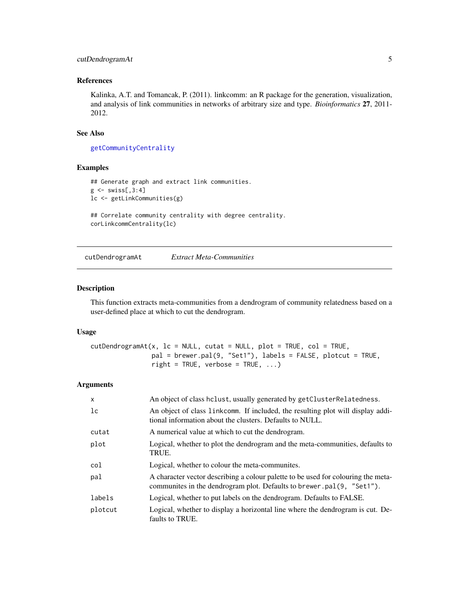## <span id="page-4-0"></span>cutDendrogramAt 5

## References

Kalinka, A.T. and Tomancak, P. (2011). linkcomm: an R package for the generation, visualization, and analysis of link communities in networks of arbitrary size and type. *Bioinformatics* 27, 2011- 2012.

#### See Also

[getCommunityCentrality](#page-11-1)

#### Examples

```
## Generate graph and extract link communities.
g \leftarrow swiss[,3:4]
lc <- getLinkCommunities(g)
## Correlate community centrality with degree centrality.
corLinkcommCentrality(lc)
```
<span id="page-4-1"></span>cutDendrogramAt *Extract Meta-Communities*

#### Description

This function extracts meta-communities from a dendrogram of community relatedness based on a user-defined place at which to cut the dendrogram.

#### Usage

```
cutDendrogramAt(x, lc = NULL, cutat = NULL, plot = TRUE, col = TRUE,pal = brewer.pal(9, "Set1"), labels = FALSE, plotcut = TRUE,
                right = TRUE, verbose = TRUE, ...)
```
#### Arguments

| $\mathsf{x}$ | An object of class hclust, usually generated by getClusterRelatedness.                                                                                     |
|--------------|------------------------------------------------------------------------------------------------------------------------------------------------------------|
| 1c           | An object of class link comm. If included, the resulting plot will display addi-<br>tional information about the clusters. Defaults to NULL.               |
| cutat        | A numerical value at which to cut the dendrogram.                                                                                                          |
| plot         | Logical, whether to plot the dendrogram and the meta-communities, defaults to<br>TRUE.                                                                     |
| col          | Logical, whether to colour the meta-communities.                                                                                                           |
| pal          | A character vector describing a colour palette to be used for colouring the meta-<br>communites in the dendrogram plot. Defaults to brewer.pal(9, "Set1"). |
| labels       | Logical, whether to put labels on the dendrogram. Defaults to FALSE.                                                                                       |
| plotcut      | Logical, whether to display a horizontal line where the dendrogram is cut. De-<br>faults to TRUE.                                                          |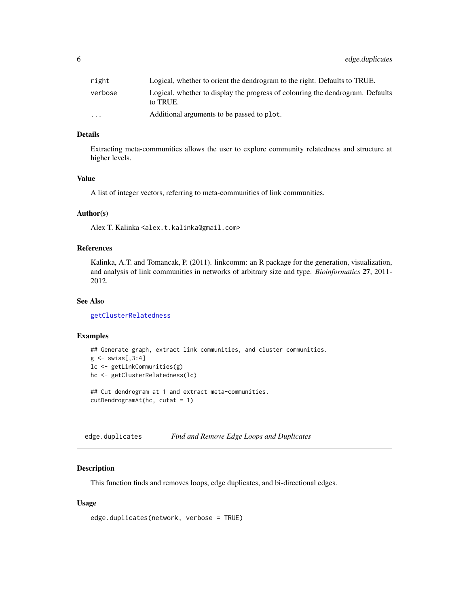<span id="page-5-0"></span>

| right                   | Logical, whether to orient the dendrogram to the right. Defaults to TRUE.                  |
|-------------------------|--------------------------------------------------------------------------------------------|
| verbose                 | Logical, whether to display the progress of colouring the dendrogram. Defaults<br>to TRUE. |
| $\cdot$ $\cdot$ $\cdot$ | Additional arguments to be passed to plot.                                                 |

## Details

Extracting meta-communities allows the user to explore community relatedness and structure at higher levels.

## Value

A list of integer vectors, referring to meta-communities of link communities.

## Author(s)

Alex T. Kalinka <alex.t.kalinka@gmail.com>

## References

Kalinka, A.T. and Tomancak, P. (2011). linkcomm: an R package for the generation, visualization, and analysis of link communities in networks of arbitrary size and type. *Bioinformatics* 27, 2011- 2012.

#### See Also

[getClusterRelatedness](#page-9-1)

#### Examples

```
## Generate graph, extract link communities, and cluster communities.
g \leftarrow swiss[,3:4]
lc <- getLinkCommunities(g)
hc <- getClusterRelatedness(lc)
## Cut dendrogram at 1 and extract meta-communities.
```
cutDendrogramAt(hc, cutat = 1)

edge.duplicates *Find and Remove Edge Loops and Duplicates*

## Description

This function finds and removes loops, edge duplicates, and bi-directional edges.

#### Usage

```
edge.duplicates(network, verbose = TRUE)
```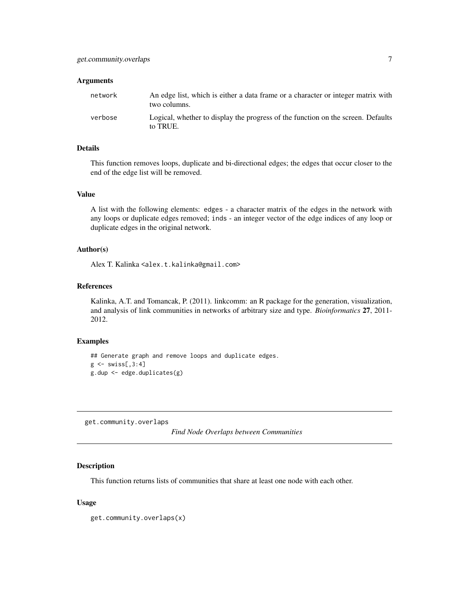#### <span id="page-6-0"></span>Arguments

| network | An edge list, which is either a data frame or a character or integer matrix with<br>two columns. |
|---------|--------------------------------------------------------------------------------------------------|
| verbose | Logical, whether to display the progress of the function on the screen. Defaults<br>to TRUE.     |

## Details

This function removes loops, duplicate and bi-directional edges; the edges that occur closer to the end of the edge list will be removed.

## Value

A list with the following elements: edges - a character matrix of the edges in the network with any loops or duplicate edges removed; inds - an integer vector of the edge indices of any loop or duplicate edges in the original network.

## Author(s)

Alex T. Kalinka <alex.t.kalinka@gmail.com>

## References

Kalinka, A.T. and Tomancak, P. (2011). linkcomm: an R package for the generation, visualization, and analysis of link communities in networks of arbitrary size and type. *Bioinformatics* 27, 2011- 2012.

#### Examples

```
## Generate graph and remove loops and duplicate edges.
g \leftarrow swiss[,3:4]
g.dup <- edge.duplicates(g)
```
get.community.overlaps

*Find Node Overlaps between Communities*

#### Description

This function returns lists of communities that share at least one node with each other.

#### Usage

```
get.community.overlaps(x)
```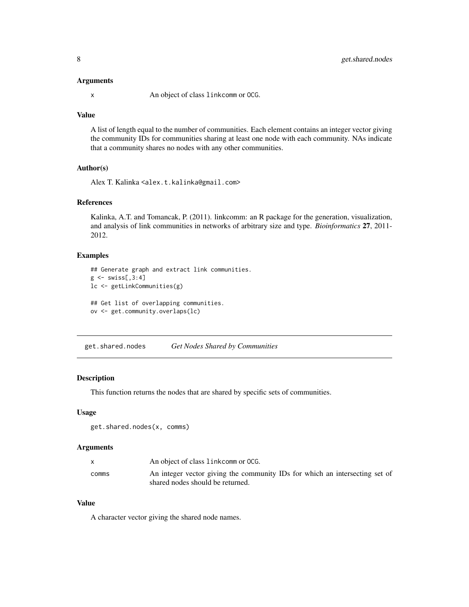#### <span id="page-7-0"></span>Arguments

x An object of class linkcomm or OCG.

#### Value

A list of length equal to the number of communities. Each element contains an integer vector giving the community IDs for communities sharing at least one node with each community. NAs indicate that a community shares no nodes with any other communities.

## Author(s)

Alex T. Kalinka <alex.t.kalinka@gmail.com>

## References

Kalinka, A.T. and Tomancak, P. (2011). linkcomm: an R package for the generation, visualization, and analysis of link communities in networks of arbitrary size and type. *Bioinformatics* 27, 2011- 2012.

#### Examples

```
## Generate graph and extract link communities.
g \leftarrow \text{swiss[, 3:4}lc <- getLinkCommunities(g)
## Get list of overlapping communities.
ov <- get.community.overlaps(lc)
```
get.shared.nodes *Get Nodes Shared by Communities*

#### Description

This function returns the nodes that are shared by specific sets of communities.

#### Usage

```
get.shared.nodes(x, comms)
```
#### Arguments

|       | An object of class link comm or OCG.                                                                            |
|-------|-----------------------------------------------------------------------------------------------------------------|
| comms | An integer vector giving the community IDs for which an intersecting set of<br>shared nodes should be returned. |

## Value

A character vector giving the shared node names.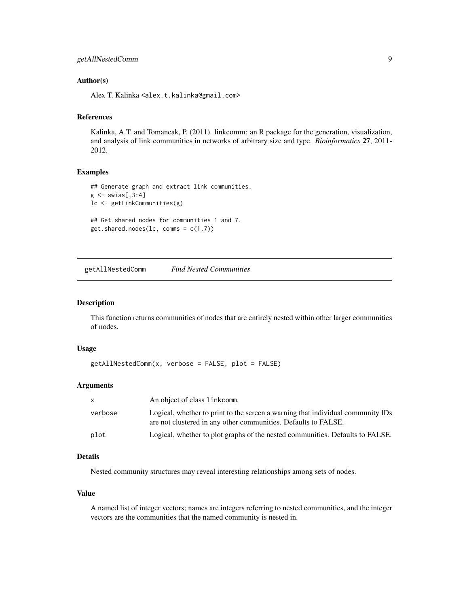#### <span id="page-8-0"></span>Author(s)

Alex T. Kalinka <alex.t.kalinka@gmail.com>

#### References

Kalinka, A.T. and Tomancak, P. (2011). linkcomm: an R package for the generation, visualization, and analysis of link communities in networks of arbitrary size and type. *Bioinformatics* 27, 2011- 2012.

## Examples

```
## Generate graph and extract link communities.
g \leftarrow swiss[,3:4]
lc <- getLinkCommunities(g)
## Get shared nodes for communities 1 and 7.
get.shape.nodes(lc, comms = c(1,7))
```
<span id="page-8-1"></span>getAllNestedComm *Find Nested Communities*

## Description

This function returns communities of nodes that are entirely nested within other larger communities of nodes.

#### Usage

```
getAllNestedComm(x, verbose = FALSE, plot = FALSE)
```
#### Arguments

| $\mathsf{x}$ | An object of class link comm.                                                                                                                     |
|--------------|---------------------------------------------------------------------------------------------------------------------------------------------------|
| verbose      | Logical, whether to print to the screen a warning that individual community IDs<br>are not clustered in any other communities. Defaults to FALSE. |
| plot         | Logical, whether to plot graphs of the nested communities. Defaults to FALSE.                                                                     |

## Details

Nested community structures may reveal interesting relationships among sets of nodes.

## Value

A named list of integer vectors; names are integers referring to nested communities, and the integer vectors are the communities that the named community is nested in.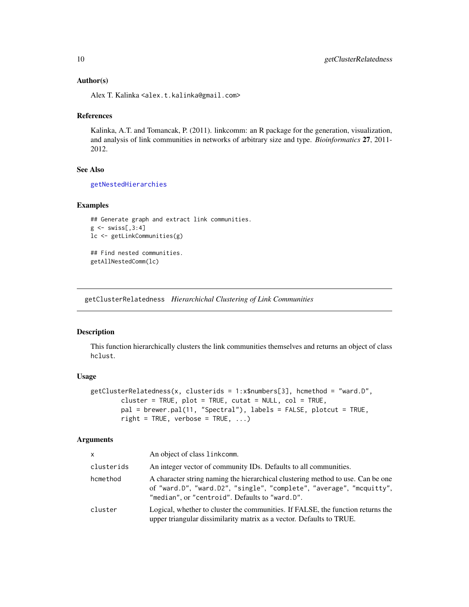#### <span id="page-9-0"></span>Author(s)

Alex T. Kalinka <alex.t.kalinka@gmail.com>

#### References

Kalinka, A.T. and Tomancak, P. (2011). linkcomm: an R package for the generation, visualization, and analysis of link communities in networks of arbitrary size and type. *Bioinformatics* 27, 2011- 2012.

#### See Also

[getNestedHierarchies](#page-20-1)

#### Examples

```
## Generate graph and extract link communities.
g \leftarrow swiss[,3:4]
lc <- getLinkCommunities(g)
## Find nested communities.
getAllNestedComm(lc)
```
<span id="page-9-1"></span>getClusterRelatedness *Hierarchichal Clustering of Link Communities*

#### Description

This function hierarchically clusters the link communities themselves and returns an object of class hclust.

#### Usage

```
getClusterRelatedness(x, clusterids = 1:x$numbers[3], hcmethod = "ward.D",
       cluster = TRUE, plot = TRUE, cutat = NULL, col = TRUE,
       pal = brewer.pal(11, "Spectral"), labels = FALSE, plotcut = TRUE,
       right = TRUE, verbose = TRUE, ...)
```
#### Arguments

| <b>X</b>   | An object of class linkcomm.                                                                                                                                                                              |
|------------|-----------------------------------------------------------------------------------------------------------------------------------------------------------------------------------------------------------|
| clusterids | An integer vector of community IDs. Defaults to all communities.                                                                                                                                          |
| hcmethod   | A character string naming the hierarchical clustering method to use. Can be one<br>of "ward.D", "ward.D2", "single", "complete", "average", "mcquitty",<br>"median", or "centroid". Defaults to "ward.D". |
| cluster    | Logical, whether to cluster the communities. If FALSE, the function returns the<br>upper triangular dissimilarity matrix as a vector. Defaults to TRUE.                                                   |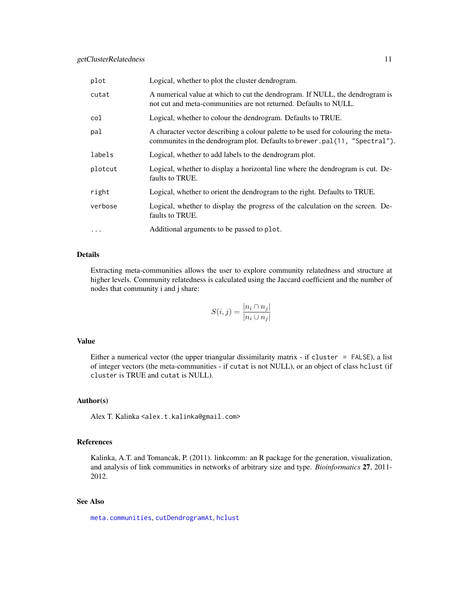<span id="page-10-0"></span>

| plot      | Logical, whether to plot the cluster dendrogram.                                                                                                                |
|-----------|-----------------------------------------------------------------------------------------------------------------------------------------------------------------|
| cutat     | A numerical value at which to cut the dendrogram. If NULL, the dendrogram is<br>not cut and meta-communities are not returned. Defaults to NULL.                |
| col       | Logical, whether to colour the dendrogram. Defaults to TRUE.                                                                                                    |
| pal       | A character vector describing a colour palette to be used for colouring the meta-<br>communites in the dendrogram plot. Defaults to brewer.pal(11, "Spectral"). |
| labels    | Logical, whether to add labels to the dendrogram plot.                                                                                                          |
| plotcut   | Logical, whether to display a horizontal line where the dendrogram is cut. De-<br>faults to TRUE.                                                               |
| right     | Logical, whether to orient the dendrogram to the right. Defaults to TRUE.                                                                                       |
| verbose   | Logical, whether to display the progress of the calculation on the screen. De-<br>faults to TRUE.                                                               |
| $\ddotsc$ | Additional arguments to be passed to plot.                                                                                                                      |

#### Details

Extracting meta-communities allows the user to explore community relatedness and structure at higher levels. Community relatedness is calculated using the Jaccard coefficient and the number of nodes that community i and j share:

$$
S(i,j) = \frac{|n_i \cap n_j|}{|n_i \cup n_j|}
$$

## Value

Either a numerical vector (the upper triangular dissimilarity matrix - if cluster = FALSE), a list of integer vectors (the meta-communities - if cutat is not NULL), or an object of class hclust (if cluster is TRUE and cutat is NULL).

#### Author(s)

Alex T. Kalinka <alex.t.kalinka@gmail.com>

## References

Kalinka, A.T. and Tomancak, P. (2011). linkcomm: an R package for the generation, visualization, and analysis of link communities in networks of arbitrary size and type. *Bioinformatics* 27, 2011- 2012.

## See Also

[meta.communities](#page-32-1), [cutDendrogramAt](#page-4-1), [hclust](#page-0-0)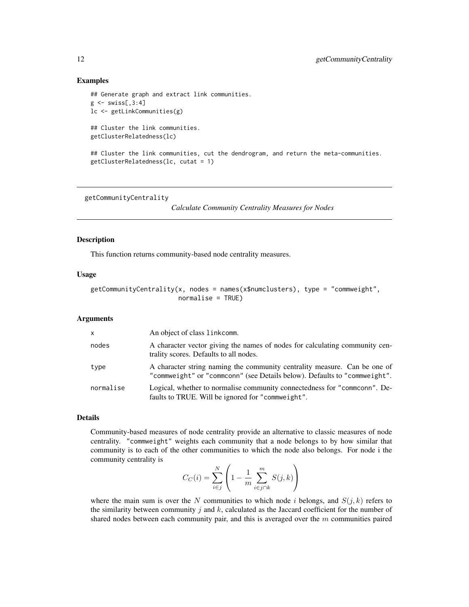#### Examples

```
## Generate graph and extract link communities.
g \leftarrow swiss[,3:4]
lc <- getLinkCommunities(g)
## Cluster the link communities.
getClusterRelatedness(lc)
```
## Cluster the link communities, cut the dendrogram, and return the meta-communities. getClusterRelatedness(lc, cutat = 1)

<span id="page-11-1"></span>getCommunityCentrality

*Calculate Community Centrality Measures for Nodes*

## Description

This function returns community-based node centrality measures.

#### Usage

```
getCommuityCentrality(x, nodes = names(x$numclusters), type = "commweight",normalise = TRUE)
```
#### Arguments

| $\mathsf{x}$ | An object of class link comm.                                                                                                                          |
|--------------|--------------------------------------------------------------------------------------------------------------------------------------------------------|
| nodes        | A character vector giving the names of nodes for calculating community cen-<br>trality scores. Defaults to all nodes.                                  |
| type         | A character string naming the community centrality measure. Can be one of<br>"commweight" or "commconn" (see Details below). Defaults to "commweight". |
| normalise    | Logical, whether to normalise community connectedness for "commonn". De-<br>faults to TRUE. Will be ignored for "commune ight".                        |

## Details

Community-based measures of node centrality provide an alternative to classic measures of node centrality. "commweight" weights each community that a node belongs to by how similar that community is to each of the other communities to which the node also belongs. For node i the community centrality is

$$
C_C(i) = \sum_{i \in j}^{N} \left( 1 - \frac{1}{m} \sum_{i \in j \cap k}^{m} S(j, k) \right)
$$

where the main sum is over the N communities to which node i belongs, and  $S(j, k)$  refers to the similarity between community j and  $k$ , calculated as the Jaccard coefficient for the number of shared nodes between each community pair, and this is averaged over the  $m$  communities paired

<span id="page-11-0"></span>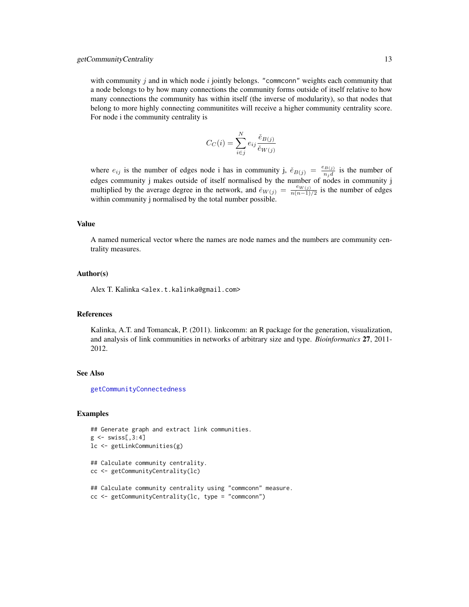#### <span id="page-12-0"></span>getCommunityCentrality 13

with community j and in which node i jointly belongs. "commconn" weights each community that a node belongs to by how many connections the community forms outside of itself relative to how many connections the community has within itself (the inverse of modularity), so that nodes that belong to more highly connecting communitites will receive a higher community centrality score. For node i the community centrality is

$$
C_C(i) = \sum_{i \in j}^{N} e_{ij} \frac{\check{e}_{B(j)}}{\check{e}_{W(j)}}
$$

where  $e_{ij}$  is the number of edges node i has in community j,  $\check{e}_{B(j)} = \frac{e_{B(j)}}{n_j d}$  is the number of edges community j makes outside of itself normalised by the number of nodes in community j multiplied by the average degree in the network, and  $\check{e}_{W(j)} = \frac{e_{W(j)}}{n(n-1)}$  $\frac{W(j)}{n(n-1)/2}$  is the number of edges within community j normalised by the total number possible.

#### Value

A named numerical vector where the names are node names and the numbers are community centrality measures.

#### Author(s)

Alex T. Kalinka <alex.t.kalinka@gmail.com>

#### References

Kalinka, A.T. and Tomancak, P. (2011). linkcomm: an R package for the generation, visualization, and analysis of link communities in networks of arbitrary size and type. *Bioinformatics* 27, 2011- 2012.

#### See Also

[getCommunityConnectedness](#page-13-1)

#### Examples

```
## Generate graph and extract link communities.
g \leftarrow \text{swiss[, 3:4]}lc <- getLinkCommunities(g)
## Calculate community centrality.
cc <- getCommunityCentrality(lc)
## Calculate community centrality using "commconn" measure.
cc <- getCommunityCentrality(lc, type = "commconn")
```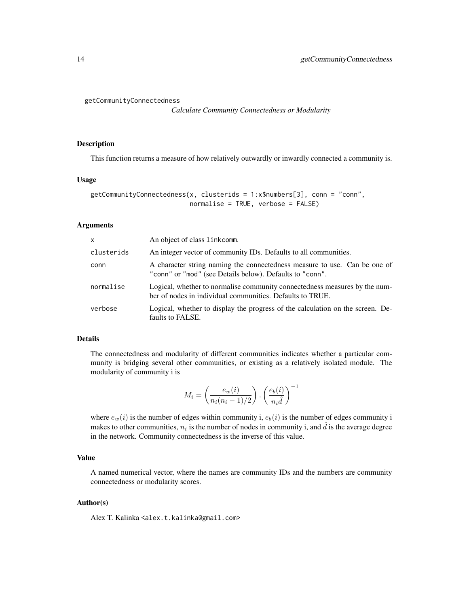```
getCommunityConnectedness
```
*Calculate Community Connectedness or Modularity*

#### Description

This function returns a measure of how relatively outwardly or inwardly connected a community is.

#### Usage

```
getCommunityConnectedness(x, clusterids = 1:x$numbers[3], conn = "conn",
                          normalise = TRUE, verbose = FALSE)
```
## Arguments

| X          | An object of class link comm.                                                                                                           |
|------------|-----------------------------------------------------------------------------------------------------------------------------------------|
| clusterids | An integer vector of community IDs. Defaults to all communities.                                                                        |
| conn       | A character string naming the connectedness measure to use. Can be one of<br>"conn" or "mod" (see Details below). Defaults to "conn".   |
| normalise  | Logical, whether to normalise community connectedness measures by the num-<br>ber of nodes in individual communities. Defaults to TRUE. |
| verbose    | Logical, whether to display the progress of the calculation on the screen. De-<br>faults to FALSE.                                      |

## Details

The connectedness and modularity of different communities indicates whether a particular community is bridging several other communities, or existing as a relatively isolated module. The modularity of community i is

$$
M_i = \left(\frac{e_w(i)}{n_i(n_i - 1)/2}\right) \cdot \left(\frac{e_b(i)}{n_i \hat{d}}\right)^{-1}
$$

where  $e_w(i)$  is the number of edges within community i,  $e_b(i)$  is the number of edges community i makes to other communities,  $n_i$  is the number of nodes in community i, and  $\hat{d}$  is the average degree in the network. Community connectedness is the inverse of this value.

## Value

A named numerical vector, where the names are community IDs and the numbers are community connectedness or modularity scores.

#### Author(s)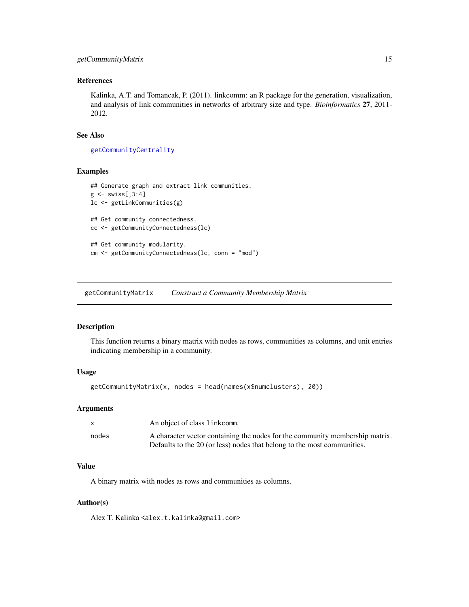## <span id="page-14-0"></span>getCommunityMatrix 15

## References

Kalinka, A.T. and Tomancak, P. (2011). linkcomm: an R package for the generation, visualization, and analysis of link communities in networks of arbitrary size and type. *Bioinformatics* 27, 2011- 2012.

## See Also

[getCommunityCentrality](#page-11-1)

#### Examples

```
## Generate graph and extract link communities.
g \leftarrow swiss[,3:4]
lc <- getLinkCommunities(g)
## Get community connectedness.
cc <- getCommunityConnectedness(lc)
## Get community modularity.
cm <- getCommunityConnectedness(lc, conn = "mod")
```
getCommunityMatrix *Construct a Community Membership Matrix*

## Description

This function returns a binary matrix with nodes as rows, communities as columns, and unit entries indicating membership in a community.

#### Usage

```
getCommunityMatrix(x, nodes = head(names(x$numclusters), 20))
```
#### Arguments

| X     | An object of class linkcomm.                                                                                                                            |
|-------|---------------------------------------------------------------------------------------------------------------------------------------------------------|
| nodes | A character vector containing the nodes for the community membership matrix.<br>Defaults to the 20 (or less) nodes that belong to the most communities. |

#### Value

A binary matrix with nodes as rows and communities as columns.

#### Author(s)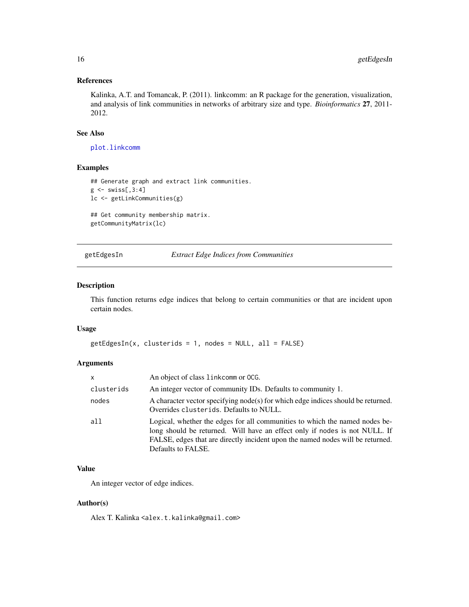## <span id="page-15-0"></span>References

Kalinka, A.T. and Tomancak, P. (2011). linkcomm: an R package for the generation, visualization, and analysis of link communities in networks of arbitrary size and type. *Bioinformatics* 27, 2011- 2012.

#### See Also

[plot.linkcomm](#page-38-1)

#### Examples

```
## Generate graph and extract link communities.
g \leftarrow swiss[,3:4]
lc <- getLinkCommunities(g)
```
## Get community membership matrix. getCommunityMatrix(lc)

<span id="page-15-1"></span>getEdgesIn *Extract Edge Indices from Communities*

#### Description

This function returns edge indices that belong to certain communities or that are incident upon certain nodes.

## Usage

```
getEdgesIn(x, clusters) = 1, nodes = NULL, all = FALSE)
```
## Arguments

| X          | An object of class link comm or OCG.                                                                                                                                                                                                                              |
|------------|-------------------------------------------------------------------------------------------------------------------------------------------------------------------------------------------------------------------------------------------------------------------|
| clusterids | An integer vector of community IDs. Defaults to community 1.                                                                                                                                                                                                      |
| nodes      | A character vector specifying node(s) for which edge indices should be returned.<br>Overrides clusterids. Defaults to NULL.                                                                                                                                       |
| all        | Logical, whether the edges for all communities to which the named nodes be-<br>long should be returned. Will have an effect only if nodes is not NULL. If<br>FALSE, edges that are directly incident upon the named nodes will be returned.<br>Defaults to FALSE. |

## Value

An integer vector of edge indices.

#### Author(s)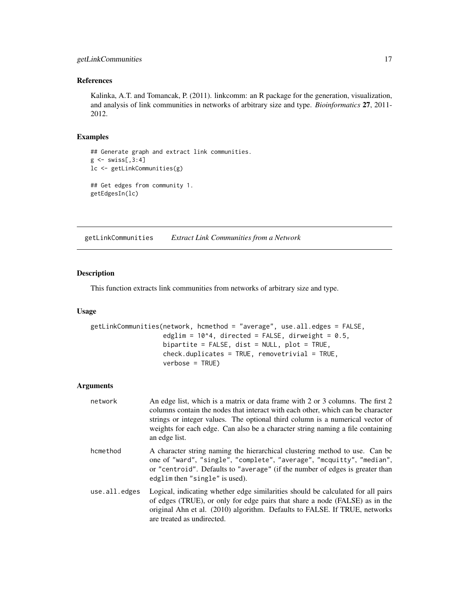## <span id="page-16-0"></span>References

Kalinka, A.T. and Tomancak, P. (2011). linkcomm: an R package for the generation, visualization, and analysis of link communities in networks of arbitrary size and type. *Bioinformatics* 27, 2011- 2012.

## Examples

```
## Generate graph and extract link communities.
g \leftarrow swiss[,3:4]
lc <- getLinkCommunities(g)
## Get edges from community 1.
getEdgesIn(lc)
```
<span id="page-16-1"></span>getLinkCommunities *Extract Link Communities from a Network*

#### Description

This function extracts link communities from networks of arbitrary size and type.

#### Usage

```
getLinkCommunities(network, hcmethod = "average", use.all.edges = FALSE,
                   edglim = 10^4, directed = FALSE, dirweight = 0.5,
                   bipartite = FALSE, dist = NULL, plot = TRUE,
                   check.duplicates = TRUE, removetrivial = TRUE,
                   verbose = TRUE)
```
#### Arguments

| network       | An edge list, which is a matrix or data frame with 2 or 3 columns. The first 2<br>columns contain the nodes that interact with each other, which can be character<br>strings or integer values. The optional third column is a numerical vector of<br>weights for each edge. Can also be a character string naming a file containing<br>an edge list. |
|---------------|-------------------------------------------------------------------------------------------------------------------------------------------------------------------------------------------------------------------------------------------------------------------------------------------------------------------------------------------------------|
| hcmethod      | A character string naming the hierarchical clustering method to use. Can be<br>one of "ward", "single", "complete", "average", "mcquitty", "median",<br>or "centroid". Defaults to "average" (if the number of edges is greater than<br>edglim then "single" is used).                                                                                |
| use.all.edges | Logical, indicating whether edge similarities should be calculated for all pairs<br>of edges (TRUE), or only for edge pairs that share a node (FALSE) as in the<br>original Ahn et al. (2010) algorithm. Defaults to FALSE. If TRUE, networks<br>are treated as undirected.                                                                           |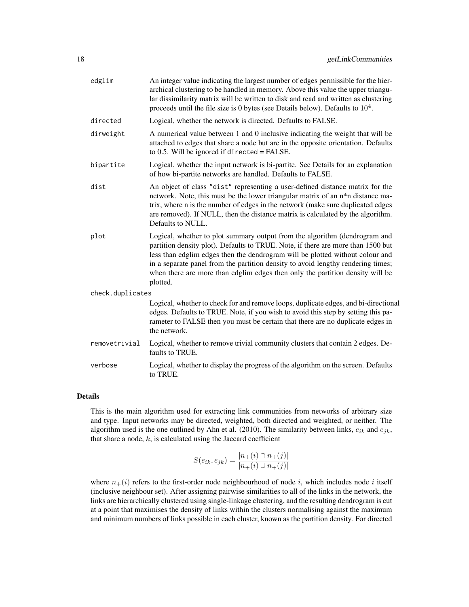| edglim           | An integer value indicating the largest number of edges permissible for the hier-<br>archical clustering to be handled in memory. Above this value the upper triangu-<br>lar dissimilarity matrix will be written to disk and read and written as clustering<br>proceeds until the file size is 0 bytes (see Details below). Defaults to $10^4$ .                                                                                |
|------------------|----------------------------------------------------------------------------------------------------------------------------------------------------------------------------------------------------------------------------------------------------------------------------------------------------------------------------------------------------------------------------------------------------------------------------------|
| directed         | Logical, whether the network is directed. Defaults to FALSE.                                                                                                                                                                                                                                                                                                                                                                     |
| dirweight        | A numerical value between 1 and 0 inclusive indicating the weight that will be<br>attached to edges that share a node but are in the opposite orientation. Defaults<br>to $0.5$ . Will be ignored if directed = FALSE.                                                                                                                                                                                                           |
| bipartite        | Logical, whether the input network is bi-partite. See Details for an explanation<br>of how bi-partite networks are handled. Defaults to FALSE.                                                                                                                                                                                                                                                                                   |
| dist             | An object of class "dist" representing a user-defined distance matrix for the<br>network. Note, this must be the lower triangular matrix of an n*n distance ma-<br>trix, where n is the number of edges in the network (make sure duplicated edges<br>are removed). If NULL, then the distance matrix is calculated by the algorithm.<br>Defaults to NULL.                                                                       |
| plot             | Logical, whether to plot summary output from the algorithm (dendrogram and<br>partition density plot). Defaults to TRUE. Note, if there are more than 1500 but<br>less than edglim edges then the dendrogram will be plotted without colour and<br>in a separate panel from the partition density to avoid lengthy rendering times;<br>when there are more than edglim edges then only the partition density will be<br>plotted. |
| check.duplicates |                                                                                                                                                                                                                                                                                                                                                                                                                                  |
|                  | Logical, whether to check for and remove loops, duplicate edges, and bi-directional<br>edges. Defaults to TRUE. Note, if you wish to avoid this step by setting this pa-<br>rameter to FALSE then you must be certain that there are no duplicate edges in<br>the network.                                                                                                                                                       |
| removetrivial    | Logical, whether to remove trivial community clusters that contain 2 edges. De-<br>faults to TRUE.                                                                                                                                                                                                                                                                                                                               |
| verbose          | Logical, whether to display the progress of the algorithm on the screen. Defaults<br>to TRUE.                                                                                                                                                                                                                                                                                                                                    |

## Details

This is the main algorithm used for extracting link communities from networks of arbitrary size and type. Input networks may be directed, weighted, both directed and weighted, or neither. The algorithm used is the one outlined by Ahn et al. (2010). The similarity between links,  $e_{ik}$  and  $e_{jk}$ , that share a node,  $k$ , is calculated using the Jaccard coefficient

$$
S(e_{ik}, e_{jk}) = \frac{|n_+(i) \cap n_+(j)|}{|n_+(i) \cup n_+(j)|}
$$

where  $n_+(i)$  refers to the first-order node neighbourhood of node i, which includes node i itself (inclusive neighbour set). After assigning pairwise similarities to all of the links in the network, the links are hierarchically clustered using single-linkage clustering, and the resulting dendrogram is cut at a point that maximises the density of links within the clusters normalising against the maximum and minimum numbers of links possible in each cluster, known as the partition density. For directed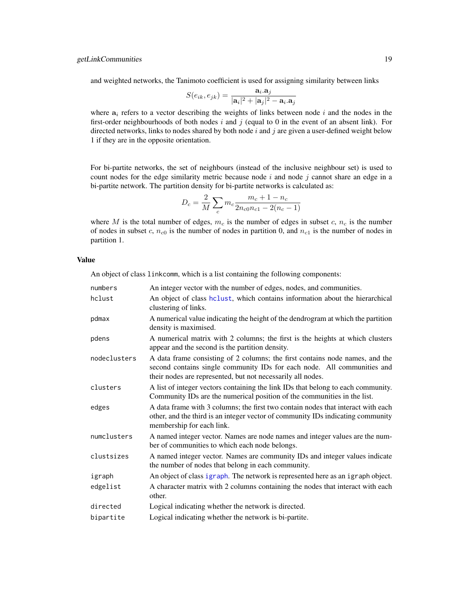<span id="page-18-0"></span>and weighted networks, the Tanimoto coefficient is used for assigning similarity between links

$$
S(e_{ik}, e_{jk}) = \frac{\mathbf{a}_i \cdot \mathbf{a}_j}{|\mathbf{a}_i|^2 + |\mathbf{a}_j|^2 - \mathbf{a}_i \cdot \mathbf{a}_j}
$$

where  $a_i$  refers to a vector describing the weights of links between node i and the nodes in the first-order neighbourhoods of both nodes  $i$  and  $j$  (equal to 0 in the event of an absent link). For directed networks, links to nodes shared by both node  $i$  and  $j$  are given a user-defined weight below 1 if they are in the opposite orientation.

For bi-partite networks, the set of neighbours (instead of the inclusive neighbour set) is used to count nodes for the edge similarity metric because node  $i$  and node  $j$  cannot share an edge in a bi-partite network. The partition density for bi-partite networks is calculated as:

$$
D_c = \frac{2}{M} \sum_c m_c \frac{m_c + 1 - n_c}{2n_{c0}n_{c1} - 2(n_c - 1)}
$$

where M is the total number of edges,  $m_c$  is the number of edges in subset c,  $n_c$  is the number of nodes in subset c,  $n_{c0}$  is the number of nodes in partition 0, and  $n_{c1}$  is the number of nodes in partition 1.

## Value

An object of class linkcomm, which is a list containing the following components:

| numbers      | An integer vector with the number of edges, nodes, and communities.                                                                                                                                                    |
|--------------|------------------------------------------------------------------------------------------------------------------------------------------------------------------------------------------------------------------------|
| hclust       | An object of class helust, which contains information about the hierarchical<br>clustering of links.                                                                                                                   |
| pdmax        | A numerical value indicating the height of the dendrogram at which the partition<br>density is maximised.                                                                                                              |
| pdens        | A numerical matrix with 2 columns; the first is the heights at which clusters<br>appear and the second is the partition density.                                                                                       |
| nodeclusters | A data frame consisting of 2 columns; the first contains node names, and the<br>second contains single community IDs for each node. All communities and<br>their nodes are represented, but not necessarily all nodes. |
| clusters     | A list of integer vectors containing the link IDs that belong to each community.<br>Community IDs are the numerical position of the communities in the list.                                                           |
| edges        | A data frame with 3 columns; the first two contain nodes that interact with each<br>other, and the third is an integer vector of community IDs indicating community<br>membership for each link.                       |
| numclusters  | A named integer vector. Names are node names and integer values are the num-<br>ber of communities to which each node belongs.                                                                                         |
| clustsizes   | A named integer vector. Names are community IDs and integer values indicate<br>the number of nodes that belong in each community.                                                                                      |
| igraph       | An object of class igraph. The network is represented here as an igraph object.                                                                                                                                        |
| edgelist     | A character matrix with 2 columns containing the nodes that interact with each<br>other.                                                                                                                               |
| directed     | Logical indicating whether the network is directed.                                                                                                                                                                    |
| bipartite    | Logical indicating whether the network is bi-partite.                                                                                                                                                                  |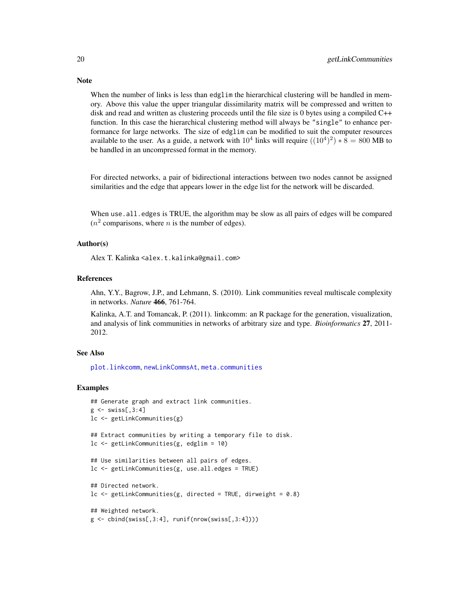When the number of links is less than edglim the hierarchical clustering will be handled in memory. Above this value the upper triangular dissimilarity matrix will be compressed and written to disk and read and written as clustering proceeds until the file size is 0 bytes using a compiled  $C++$ function. In this case the hierarchical clustering method will always be "single" to enhance performance for large networks. The size of edglim can be modified to suit the computer resources available to the user. As a guide, a network with  $10^4$  links will require  $((10^4)^2)*8 = 800$  MB to be handled in an uncompressed format in the memory.

For directed networks, a pair of bidirectional interactions between two nodes cannot be assigned similarities and the edge that appears lower in the edge list for the network will be discarded.

When use.all.edges is TRUE, the algorithm may be slow as all pairs of edges will be compared  $(n^2$  comparisons, where *n* is the number of edges).

## Author(s)

Alex T. Kalinka <alex.t.kalinka@gmail.com>

#### References

Ahn, Y.Y., Bagrow, J.P., and Lehmann, S. (2010). Link communities reveal multiscale complexity in networks. *Nature* 466, 761-764.

Kalinka, A.T. and Tomancak, P. (2011). linkcomm: an R package for the generation, visualization, and analysis of link communities in networks of arbitrary size and type. *Bioinformatics* 27, 2011- 2012.

## See Also

[plot.linkcomm](#page-38-1), [newLinkCommsAt](#page-34-1), [meta.communities](#page-32-1)

#### Examples

```
## Generate graph and extract link communities.
g \leftarrow swiss[,3:4]
lc <- getLinkCommunities(g)
## Extract communities by writing a temporary file to disk.
lc <- getLinkCommunities(g, edglim = 10)
## Use similarities between all pairs of edges.
lc <- getLinkCommunities(g, use.all.edges = TRUE)
## Directed network.
lc \leq getLinkCommunities(g, directed = TRUE, dirweight = 0.8)
## Weighted network.
g \leftarrow \text{cbind}(\text{swiss}[0,3:4], \text{runif}(\text{nrow}(\text{swiss}[0,3:4]))
```
<span id="page-19-0"></span>

## **Note**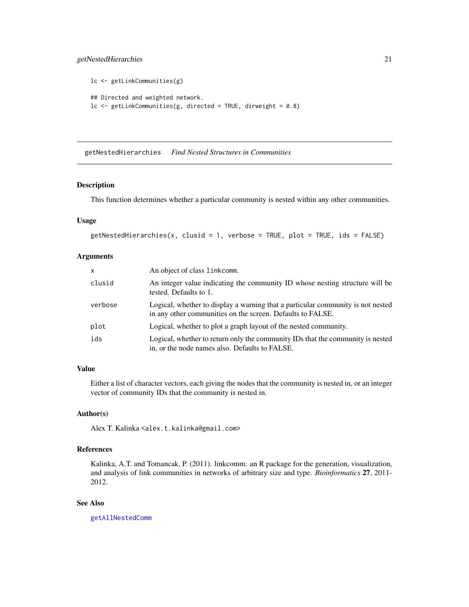## <span id="page-20-0"></span>getNestedHierarchies 21

```
lc <- getLinkCommunities(g)
## Directed and weighted network.
lc \leq getLinkCommunities(g, directed = TRUE, dirweight = 0.8)
```
<span id="page-20-1"></span>getNestedHierarchies *Find Nested Structures in Communities*

## Description

This function determines whether a particular community is nested within any other communities.

#### Usage

```
getNestedHierarchies(x, clusid = 1, verbose = TRUE, plot = TRUE, ids = FALSE)
```
#### Arguments

| $\mathsf{x}$ | An object of class linkcomm.                                                                                                                  |
|--------------|-----------------------------------------------------------------------------------------------------------------------------------------------|
| clusid       | An integer value indicating the community ID whose nesting structure will be<br>tested. Defaults to 1.                                        |
| verbose      | Logical, whether to display a warning that a particular community is not nested<br>in any other communities on the screen. Defaults to FALSE. |
| plot         | Logical, whether to plot a graph layout of the nested community.                                                                              |
| ids          | Logical, whether to return only the community IDs that the community is nested<br>in, or the node names also. Defaults to FALSE.              |

## Value

Either a list of character vectors, each giving the nodes that the community is nested in, or an integer vector of community IDs that the community is nested in.

## Author(s)

Alex T. Kalinka <alex.t.kalinka@gmail.com>

## References

Kalinka, A.T. and Tomancak, P. (2011). linkcomm: an R package for the generation, visualization, and analysis of link communities in networks of arbitrary size and type. *Bioinformatics* 27, 2011- 2012.

## See Also

[getAllNestedComm](#page-8-1)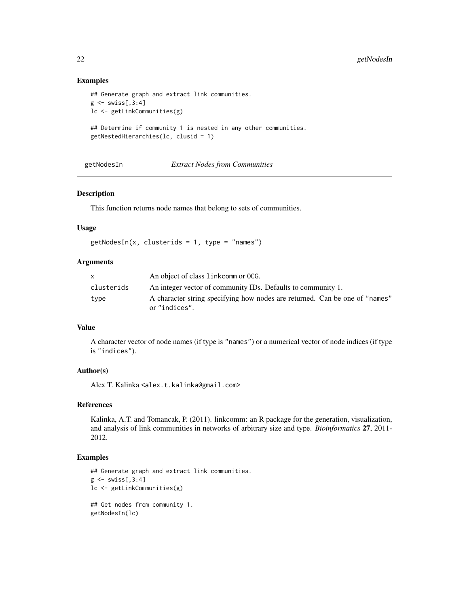#### Examples

```
## Generate graph and extract link communities.
g \leftarrow swiss[,3:4]
lc <- getLinkCommunities(g)
## Determine if community 1 is nested in any other communities.
getNestedHierarchies(lc, clusid = 1)
```
<span id="page-21-1"></span>getNodesIn *Extract Nodes from Communities*

#### Description

This function returns node names that belong to sets of communities.

#### Usage

```
getNodesIn(x, clusters) = 1, type = "names")
```
## Arguments

| X          | An object of class link comm or OCG.                                                         |
|------------|----------------------------------------------------------------------------------------------|
| clusterids | An integer vector of community IDs. Defaults to community 1.                                 |
| type       | A character string specifying how nodes are returned. Can be one of "names"<br>or "indices". |

#### Value

A character vector of node names (if type is "names") or a numerical vector of node indices (if type is "indices").

## Author(s)

Alex T. Kalinka <alex.t.kalinka@gmail.com>

#### References

Kalinka, A.T. and Tomancak, P. (2011). linkcomm: an R package for the generation, visualization, and analysis of link communities in networks of arbitrary size and type. *Bioinformatics* 27, 2011- 2012.

#### Examples

```
## Generate graph and extract link communities.
g \leftarrow \text{swiss[, 3:4}lc <- getLinkCommunities(g)
## Get nodes from community 1.
getNodesIn(lc)
```
<span id="page-21-0"></span>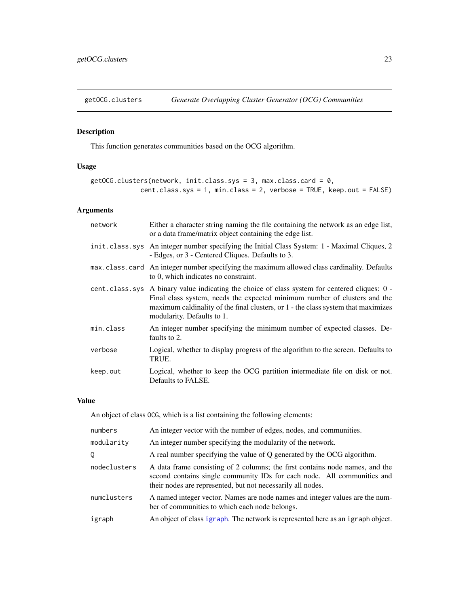<span id="page-22-1"></span><span id="page-22-0"></span>

## Description

This function generates communities based on the OCG algorithm.

## Usage

```
getOCG.clusters(network, init.class.sys = 3, max.class.card = 0,
             cent.class.sys = 1, min.class = 2, verbose = TRUE, keep.out = FALSE)
```
## Arguments

| network   | Either a character string naming the file containing the network as an edge list,<br>or a data frame/matrix object containing the edge list.                                                                                                                                                  |
|-----------|-----------------------------------------------------------------------------------------------------------------------------------------------------------------------------------------------------------------------------------------------------------------------------------------------|
|           | init.class.sys An integer number specifying the Initial Class System: 1 - Maximal Cliques, 2<br>- Edges, or 3 - Centered Cliques. Defaults to 3.                                                                                                                                              |
|           | max.class.card An integer number specifying the maximum allowed class cardinality. Defaults<br>to 0, which indicates no constraint.                                                                                                                                                           |
|           | cent.class.sys A binary value indicating the choice of class system for centered cliques: 0 -<br>Final class system, needs the expected minimum number of clusters and the<br>maximum caldinality of the final clusters, or 1 - the class system that maximizes<br>modularity. Defaults to 1. |
| min.class | An integer number specifying the minimum number of expected classes. De-<br>faults to 2.                                                                                                                                                                                                      |
| verbose   | Logical, whether to display progress of the algorithm to the screen. Defaults to<br>TRUE.                                                                                                                                                                                                     |
| keep.out  | Logical, whether to keep the OCG partition intermediate file on disk or not.<br>Defaults to FALSE.                                                                                                                                                                                            |

#### Value

An object of class OCG, which is a list containing the following elements:

| numbers      | An integer vector with the number of edges, nodes, and communities.                                                                                                                                                    |
|--------------|------------------------------------------------------------------------------------------------------------------------------------------------------------------------------------------------------------------------|
| modularity   | An integer number specifying the modularity of the network.                                                                                                                                                            |
| Q            | A real number specifying the value of Q generated by the OCG algorithm.                                                                                                                                                |
| nodeclusters | A data frame consisting of 2 columns; the first contains node names, and the<br>second contains single community IDs for each node. All communities and<br>their nodes are represented, but not necessarily all nodes. |
| numclusters  | A named integer vector. Names are node names and integer values are the num-<br>ber of communities to which each node belongs.                                                                                         |
| igraph       | An object of class igraph. The network is represented here as an igraph object.                                                                                                                                        |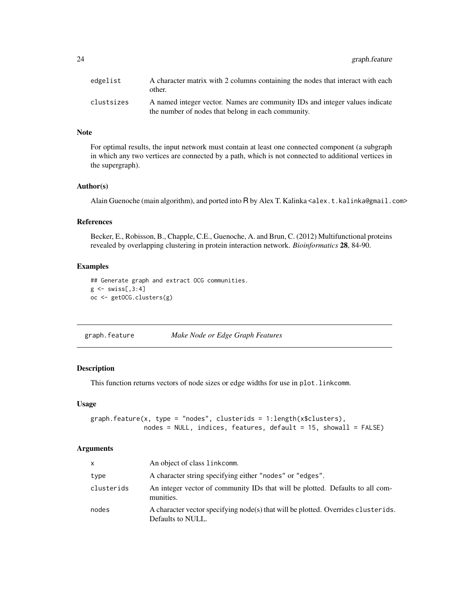<span id="page-23-0"></span>24 graph.feature

| edgelist   | A character matrix with 2 columns containing the nodes that interact with each<br>other.                                          |
|------------|-----------------------------------------------------------------------------------------------------------------------------------|
| clustsizes | A named integer vector. Names are community IDs and integer values indicate<br>the number of nodes that belong in each community. |

## Note

For optimal results, the input network must contain at least one connected component (a subgraph in which any two vertices are connected by a path, which is not connected to additional vertices in the supergraph).

#### Author(s)

Alain Guenoche (main algorithm), and ported into R by Alex T. Kalinka <alex.t.kalinka@gmail.com>

## References

Becker, E., Robisson, B., Chapple, C.E., Guenoche, A. and Brun, C. (2012) Multifunctional proteins revealed by overlapping clustering in protein interaction network. *Bioinformatics* 28, 84-90.

## Examples

```
## Generate graph and extract OCG communities.
g \leftarrow swiss[,3:4]
oc <- getOCG.clusters(g)
```
<span id="page-23-1"></span>graph.feature *Make Node or Edge Graph Features*

#### Description

This function returns vectors of node sizes or edge widths for use in plot.linkcomm.

## Usage

```
graph.feature(x, type = "nodes", clusterids = 1:length(x$clusters),
             nodes = NULL, indices, features, default = 15, should = FALSE)
```
#### Arguments

| $\mathsf{x}$ | An object of class link comm.                                                                          |
|--------------|--------------------------------------------------------------------------------------------------------|
| type         | A character string specifying either "nodes" or "edges".                                               |
| clusterids   | An integer vector of community IDs that will be plotted. Defaults to all com-<br>munities.             |
| nodes        | A character vector specifying node(s) that will be plotted. Overrides clusterids.<br>Defaults to NULL. |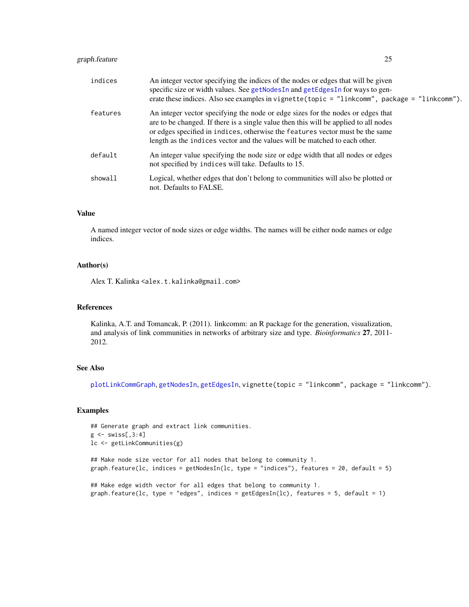## <span id="page-24-0"></span>graph.feature 25

| indices  | An integer vector specifying the indices of the nodes or edges that will be given<br>specific size or width values. See getNodesIn and getEdgesIn for ways to gen-<br>erate these indices. Also see examples in vignette (topic = "linkcomm", package = "linkcomm").                                                                   |
|----------|----------------------------------------------------------------------------------------------------------------------------------------------------------------------------------------------------------------------------------------------------------------------------------------------------------------------------------------|
| features | An integer vector specifying the node or edge sizes for the nodes or edges that<br>are to be changed. If there is a single value then this will be applied to all nodes<br>or edges specified in indices, otherwise the features vector must be the same<br>length as the indices vector and the values will be matched to each other. |
| default  | An integer value specifying the node size or edge width that all nodes or edges<br>not specified by indices will take. Defaults to 15.                                                                                                                                                                                                 |
| showall  | Logical, whether edges that don't belong to communities will also be plotted or<br>not. Defaults to FALSE.                                                                                                                                                                                                                             |

#### Value

A named integer vector of node sizes or edge widths. The names will be either node names or edge indices.

## Author(s)

Alex T. Kalinka <alex.t.kalinka@gmail.com>

#### References

Kalinka, A.T. and Tomancak, P. (2011). linkcomm: an R package for the generation, visualization, and analysis of link communities in networks of arbitrary size and type. *Bioinformatics* 27, 2011- 2012.

#### See Also

[plotLinkCommGraph](#page-42-1), [getNodesIn](#page-21-1), [getEdgesIn](#page-15-1), vignette(topic = "linkcomm", package = "linkcomm").

## Examples

```
## Generate graph and extract link communities.
g \leftarrow \text{swiss[, 3:4}lc <- getLinkCommunities(g)
## Make node size vector for all nodes that belong to community 1.
graph.feature(lc, indices = getNodesIn(lc, type = "indices"), features = 20, default = 5)
## Make edge width vector for all edges that belong to community 1.
```

```
graph.feature(lc, type = "edges", indices = getEdgesIn(lc), features = 5, default = 1)
```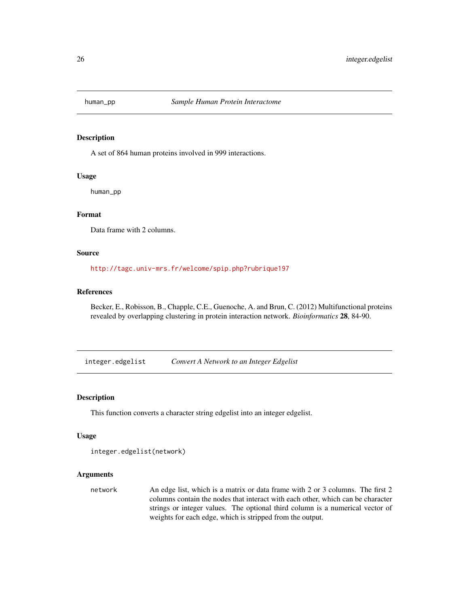<span id="page-25-0"></span>

#### Description

A set of 864 human proteins involved in 999 interactions.

## Usage

human\_pp

## Format

Data frame with 2 columns.

## Source

<http://tagc.univ-mrs.fr/welcome/spip.php?rubrique197>

## References

Becker, E., Robisson, B., Chapple, C.E., Guenoche, A. and Brun, C. (2012) Multifunctional proteins revealed by overlapping clustering in protein interaction network. *Bioinformatics* 28, 84-90.

integer.edgelist *Convert A Network to an Integer Edgelist*

## Description

This function converts a character string edgelist into an integer edgelist.

#### Usage

```
integer.edgelist(network)
```
## Arguments

network An edge list, which is a matrix or data frame with 2 or 3 columns. The first 2 columns contain the nodes that interact with each other, which can be character strings or integer values. The optional third column is a numerical vector of weights for each edge, which is stripped from the output.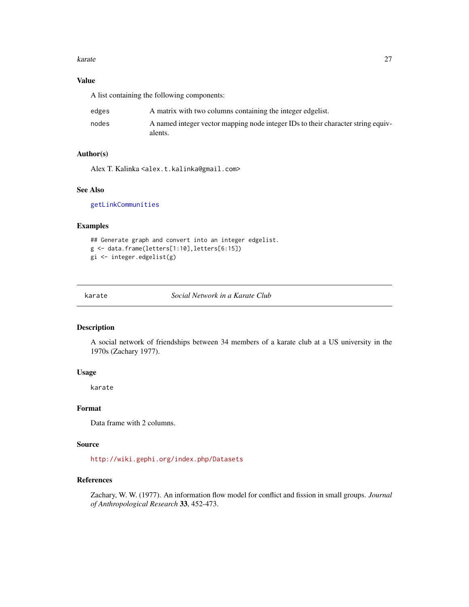#### <span id="page-26-0"></span>karate 27 and 27 and 27 and 27 and 27 and 27 and 27 and 27 and 27 and 27 and 27 and 27 and 27 and 27 and 27 and 27 and 27 and 27 and 27 and 27 and 27 and 27 and 27 and 27 and 27 and 27 and 27 and 27 and 27 and 27 and 27 an

## Value

A list containing the following components:

| edges | A matrix with two columns containing the integer edgelist.                                  |
|-------|---------------------------------------------------------------------------------------------|
| nodes | A named integer vector mapping node integer IDs to their character string equiv-<br>alents. |

## Author(s)

Alex T. Kalinka <alex.t.kalinka@gmail.com>

## See Also

[getLinkCommunities](#page-16-1)

#### Examples

```
## Generate graph and convert into an integer edgelist.
g <- data.frame(letters[1:10],letters[6:15])
gi <- integer.edgelist(g)
```
<span id="page-26-1"></span>

karate *Social Network in a Karate Club*

#### Description

A social network of friendships between 34 members of a karate club at a US university in the 1970s (Zachary 1977).

## Usage

karate

## Format

Data frame with 2 columns.

## Source

<http://wiki.gephi.org/index.php/Datasets>

## References

Zachary, W. W. (1977). An information flow model for conflict and fission in small groups. *Journal of Anthropological Research* 33, 452-473.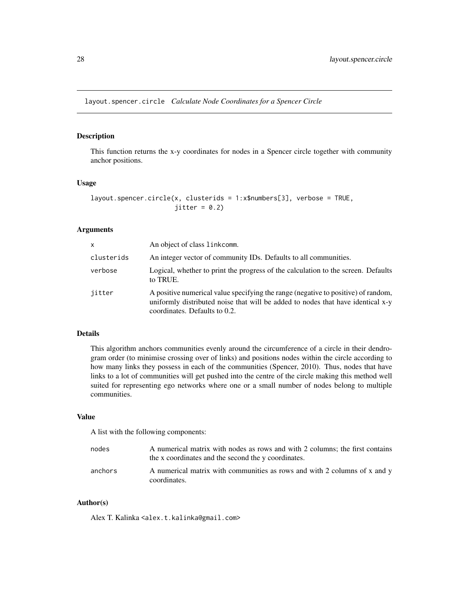<span id="page-27-1"></span><span id="page-27-0"></span>layout.spencer.circle *Calculate Node Coordinates for a Spencer Circle*

## Description

This function returns the x-y coordinates for nodes in a Spencer circle together with community anchor positions.

#### Usage

```
layout.spencer.circle(x, clusterids = 1:x$numbers[3], verbose = TRUE,
                      jitter = 0.2)
```
#### Arguments

| $\mathsf{x}$ | An object of class linkcomm.                                                                                                                                                                          |
|--------------|-------------------------------------------------------------------------------------------------------------------------------------------------------------------------------------------------------|
| clusterids   | An integer vector of community IDs. Defaults to all communities.                                                                                                                                      |
| verbose      | Logical, whether to print the progress of the calculation to the screen. Defaults<br>to TRUE.                                                                                                         |
| jitter       | A positive numerical value specifying the range (negative to positive) of random,<br>uniformly distributed noise that will be added to nodes that have identical x-y<br>coordinates. Defaults to 0.2. |

#### Details

This algorithm anchors communities evenly around the circumference of a circle in their dendrogram order (to minimise crossing over of links) and positions nodes within the circle according to how many links they possess in each of the communities (Spencer, 2010). Thus, nodes that have links to a lot of communities will get pushed into the centre of the circle making this method well suited for representing ego networks where one or a small number of nodes belong to multiple communities.

## Value

A list with the following components:

| nodes   | A numerical matrix with nodes as rows and with 2 columns; the first contains<br>the x coordinates and the second the y coordinates. |
|---------|-------------------------------------------------------------------------------------------------------------------------------------|
| anchors | A numerical matrix with communities as rows and with 2 columns of x and y<br>coordinates.                                           |

## Author(s)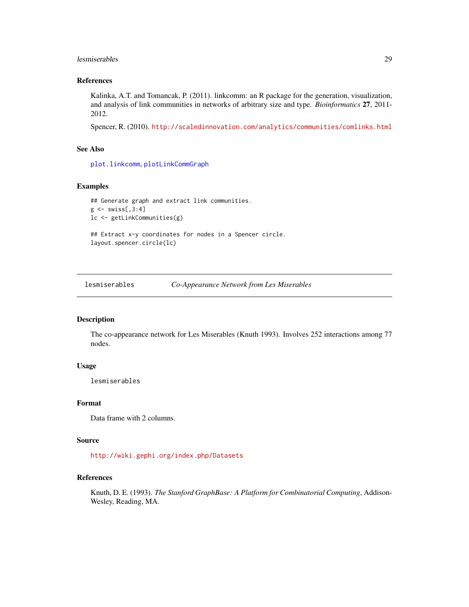#### <span id="page-28-0"></span>lesmiserables 29

## References

Kalinka, A.T. and Tomancak, P. (2011). linkcomm: an R package for the generation, visualization, and analysis of link communities in networks of arbitrary size and type. *Bioinformatics* 27, 2011- 2012.

Spencer, R. (2010). <http://scaledinnovation.com/analytics/communities/comlinks.html>

## See Also

[plot.linkcomm](#page-38-1), [plotLinkCommGraph](#page-42-1)

## Examples

```
## Generate graph and extract link communities.
g \leftarrow swiss[,3:4]
lc <- getLinkCommunities(g)
## Extract x-y coordinates for nodes in a Spencer circle.
layout.spencer.circle(lc)
```
<span id="page-28-1"></span>lesmiserables *Co-Appearance Network from Les Miserables*

## Description

The co-appearance network for Les Miserables (Knuth 1993). Involves 252 interactions among 77 nodes.

#### Usage

lesmiserables

## Format

Data frame with 2 columns.

## Source

<http://wiki.gephi.org/index.php/Datasets>

## References

Knuth, D. E. (1993). *The Stanford GraphBase: A Platform for Combinatorial Computing*, Addison-Wesley, Reading, MA.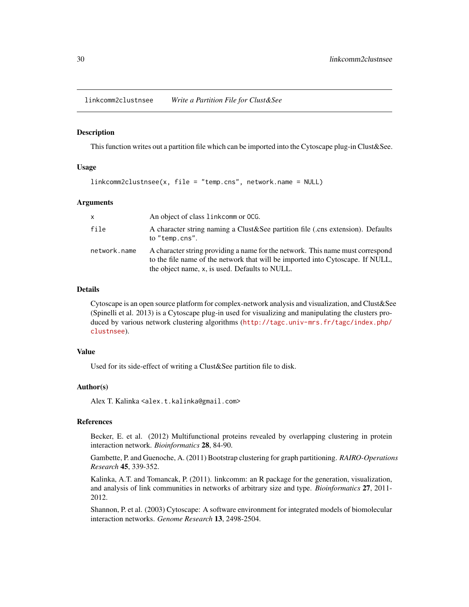<span id="page-29-0"></span>linkcomm2clustnsee *Write a Partition File for Clust&See*

#### **Description**

This function writes out a partition file which can be imported into the Cytoscape plug-in Clust&See.

## Usage

```
linkcomm2clustnsee(x, file = "temp.cns", network.name = NULL)
```
#### Arguments

| $\mathsf{x}$ | An object of class link comm or OCG.                                                                                                                                                                               |
|--------------|--------------------------------------------------------------------------------------------------------------------------------------------------------------------------------------------------------------------|
| file         | A character string naming a Clust & See partition file (cns extension). Defaults<br>to "temp.cns".                                                                                                                 |
| network.name | A character string providing a name for the network. This name must correspond<br>to the file name of the network that will be imported into Cytoscape. If NULL,<br>the object name, x, is used. Defaults to NULL. |

#### Details

Cytoscape is an open source platform for complex-network analysis and visualization, and Clust&See (Spinelli et al. 2013) is a Cytoscape plug-in used for visualizing and manipulating the clusters produced by various network clustering algorithms ([http://tagc.univ-mrs.fr/tagc/index.php/](http://tagc.univ-mrs.fr/tagc/index.php/clustnsee) [clustnsee](http://tagc.univ-mrs.fr/tagc/index.php/clustnsee)).

#### Value

Used for its side-effect of writing a Clust&See partition file to disk.

#### Author(s)

Alex T. Kalinka <alex.t.kalinka@gmail.com>

## References

Becker, E. et al. (2012) Multifunctional proteins revealed by overlapping clustering in protein interaction network. *Bioinformatics* 28, 84-90.

Gambette, P. and Guenoche, A. (2011) Bootstrap clustering for graph partitioning. *RAIRO-Operations Research* 45, 339-352.

Kalinka, A.T. and Tomancak, P. (2011). linkcomm: an R package for the generation, visualization, and analysis of link communities in networks of arbitrary size and type. *Bioinformatics* 27, 2011- 2012.

Shannon, P. et al. (2003) Cytoscape: A software environment for integrated models of biomolecular interaction networks. *Genome Research* 13, 2498-2504.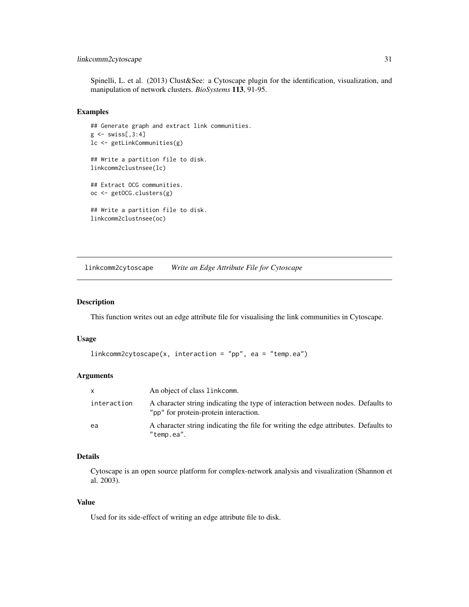## <span id="page-30-0"></span>linkcomm2cytoscape 31

Spinelli, L. et al. (2013) Clust&See: a Cytoscape plugin for the identification, visualization, and manipulation of network clusters. *BioSystems* 113, 91-95.

#### Examples

```
## Generate graph and extract link communities.
g \leftarrow swiss[,3:4]
lc <- getLinkCommunities(g)
## Write a partition file to disk.
linkcomm2clustnsee(lc)
## Extract OCG communities.
oc <- getOCG.clusters(g)
## Write a partition file to disk.
linkcomm2clustnsee(oc)
```
linkcomm2cytoscape *Write an Edge Attribute File for Cytoscape*

#### Description

This function writes out an edge attribute file for visualising the link communities in Cytoscape.

#### Usage

```
linkcomm2cytoscape(x, interaction = "pp", ea = "temp.ea")
```
#### Arguments

| $\mathsf{x}$ | An object of class linkcomm.                                                                                              |
|--------------|---------------------------------------------------------------------------------------------------------------------------|
| interaction  | A character string indicating the type of interaction between nodes. Defaults to<br>"pp" for protein-protein interaction. |
| ea           | A character string indicating the file for writing the edge attributes. Defaults to<br>"temp.ea".                         |

## Details

Cytoscape is an open source platform for complex-network analysis and visualization (Shannon et al. 2003).

## Value

Used for its side-effect of writing an edge attribute file to disk.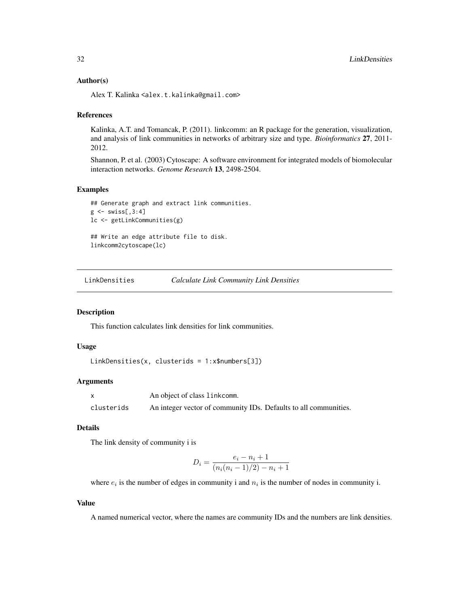#### <span id="page-31-0"></span>Author(s)

Alex T. Kalinka <alex.t.kalinka@gmail.com>

#### References

Kalinka, A.T. and Tomancak, P. (2011). linkcomm: an R package for the generation, visualization, and analysis of link communities in networks of arbitrary size and type. *Bioinformatics* 27, 2011- 2012.

Shannon, P. et al. (2003) Cytoscape: A software environment for integrated models of biomolecular interaction networks. *Genome Research* 13, 2498-2504.

#### Examples

```
## Generate graph and extract link communities.
g \leftarrow swiss[,3:4]
lc <- getLinkCommunities(g)
## Write an edge attribute file to disk.
linkcomm2cytoscape(lc)
```
LinkDensities *Calculate Link Community Link Densities*

#### Description

This function calculates link densities for link communities.

## Usage

```
LinkDensities(x, clusterids = 1:x$numbers[3])
```
#### Arguments

x An object of class linkcomm. clusterids An integer vector of community IDs. Defaults to all communities.

## Details

The link density of community i is

$$
D_i = \frac{e_i - n_i + 1}{(n_i(n_i - 1)/2) - n_i + 1}
$$

where  $e_i$  is the number of edges in community i and  $n_i$  is the number of nodes in community i.

## Value

A named numerical vector, where the names are community IDs and the numbers are link densities.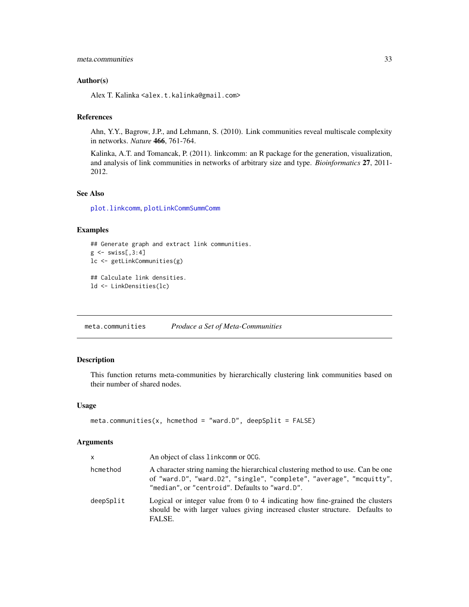#### <span id="page-32-0"></span>Author(s)

Alex T. Kalinka <alex.t.kalinka@gmail.com>

#### References

Ahn, Y.Y., Bagrow, J.P., and Lehmann, S. (2010). Link communities reveal multiscale complexity in networks. *Nature* 466, 761-764.

Kalinka, A.T. and Tomancak, P. (2011). linkcomm: an R package for the generation, visualization, and analysis of link communities in networks of arbitrary size and type. *Bioinformatics* 27, 2011- 2012.

## See Also

[plot.linkcomm](#page-38-1), [plotLinkCommSummComm](#page-47-1)

#### Examples

```
## Generate graph and extract link communities.
g \leftarrow swiss[,3:4]
lc <- getLinkCommunities(g)
## Calculate link densities.
ld <- LinkDensities(lc)
```
<span id="page-32-1"></span>meta.communities *Produce a Set of Meta-Communities*

## Description

This function returns meta-communities by hierarchically clustering link communities based on their number of shared nodes.

## Usage

```
meta.communities(x, hcmethod = "ward.D", deepSplit = FALSE)
```
## Arguments

| $\mathsf{x}$ | An object of class link comm or OCG.                                                                                                                                                                      |
|--------------|-----------------------------------------------------------------------------------------------------------------------------------------------------------------------------------------------------------|
| hcmethod     | A character string naming the hierarchical clustering method to use. Can be one<br>of "ward.D", "ward.D2", "single", "complete", "average", "mcquitty",<br>"median", or "centroid". Defaults to "ward.D". |
| deepSplit    | Logical or integer value from 0 to 4 indicating how fine-grained the clusters<br>should be with larger values giving increased cluster structure. Defaults to<br>FALSE.                                   |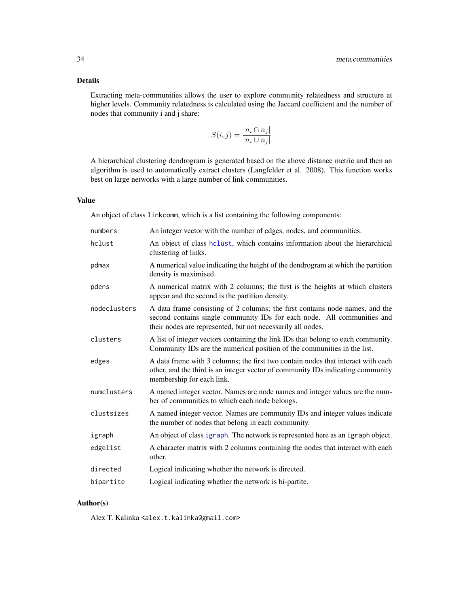## <span id="page-33-0"></span>Details

Extracting meta-communities allows the user to explore community relatedness and structure at higher levels. Community relatedness is calculated using the Jaccard coefficient and the number of nodes that community i and j share:

$$
S(i,j) = \frac{|n_i \cap n_j|}{|n_i \cup n_j|}
$$

A hierarchical clustering dendrogram is generated based on the above distance metric and then an algorithm is used to automatically extract clusters (Langfelder et al. 2008). This function works best on large networks with a large number of link communities.

## Value

An object of class linkcomm, which is a list containing the following components:

| numbers      | An integer vector with the number of edges, nodes, and communities.                                                                                                                                                    |
|--------------|------------------------------------------------------------------------------------------------------------------------------------------------------------------------------------------------------------------------|
| hclust       | An object of class helust, which contains information about the hierarchical<br>clustering of links.                                                                                                                   |
| pdmax        | A numerical value indicating the height of the dendrogram at which the partition<br>density is maximised.                                                                                                              |
| pdens        | A numerical matrix with 2 columns; the first is the heights at which clusters<br>appear and the second is the partition density.                                                                                       |
| nodeclusters | A data frame consisting of 2 columns; the first contains node names, and the<br>second contains single community IDs for each node. All communities and<br>their nodes are represented, but not necessarily all nodes. |
| clusters     | A list of integer vectors containing the link IDs that belong to each community.<br>Community IDs are the numerical position of the communities in the list.                                                           |
| edges        | A data frame with 3 columns; the first two contain nodes that interact with each<br>other, and the third is an integer vector of community IDs indicating community<br>membership for each link.                       |
| numclusters  | A named integer vector. Names are node names and integer values are the num-<br>ber of communities to which each node belongs.                                                                                         |
| clustsizes   | A named integer vector. Names are community IDs and integer values indicate<br>the number of nodes that belong in each community.                                                                                      |
| igraph       | An object of class igraph. The network is represented here as an igraph object.                                                                                                                                        |
| edgelist     | A character matrix with 2 columns containing the nodes that interact with each<br>other.                                                                                                                               |
| directed     | Logical indicating whether the network is directed.                                                                                                                                                                    |
| bipartite    | Logical indicating whether the network is bi-partite.                                                                                                                                                                  |

## Author(s)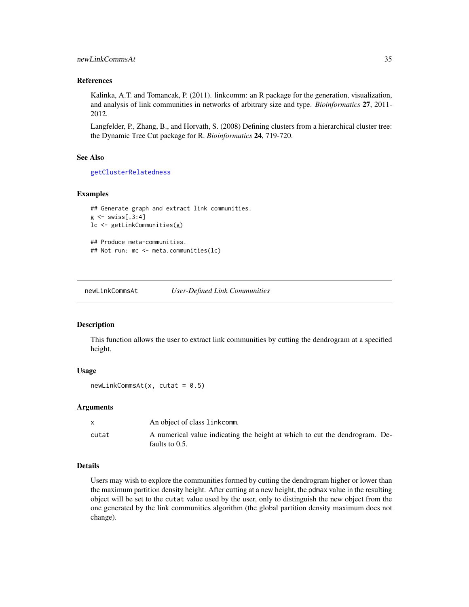## <span id="page-34-0"></span>newLinkCommsAt 35

#### References

Kalinka, A.T. and Tomancak, P. (2011). linkcomm: an R package for the generation, visualization, and analysis of link communities in networks of arbitrary size and type. *Bioinformatics* 27, 2011- 2012.

Langfelder, P., Zhang, B., and Horvath, S. (2008) Defining clusters from a hierarchical cluster tree: the Dynamic Tree Cut package for R. *Bioinformatics* 24, 719-720.

#### See Also

[getClusterRelatedness](#page-9-1)

## Examples

```
## Generate graph and extract link communities.
g \leftarrow \text{swiss}[, 3:4]lc <- getLinkCommunities(g)
## Produce meta-communities.
## Not run: mc <- meta.communities(lc)
```
<span id="page-34-1"></span>newLinkCommsAt *User-Defined Link Communities*

## Description

This function allows the user to extract link communities by cutting the dendrogram at a specified height.

## Usage

 $newLinkCommAt(x, cutat = 0.5)$ 

#### Arguments

|       | An object of class linkcomm.                                                                     |  |
|-------|--------------------------------------------------------------------------------------------------|--|
| cutat | A numerical value indicating the height at which to cut the dendrogram. De-<br>faults to $0.5$ . |  |

#### Details

Users may wish to explore the communities formed by cutting the dendrogram higher or lower than the maximum partition density height. After cutting at a new height, the pdmax value in the resulting object will be set to the cutat value used by the user, only to distinguish the new object from the one generated by the link communities algorithm (the global partition density maximum does not change).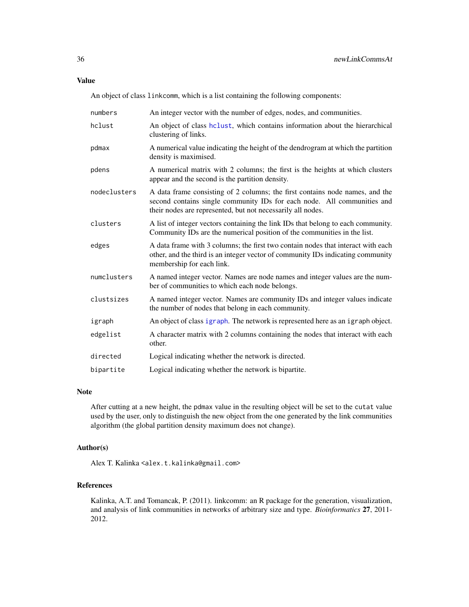## <span id="page-35-0"></span>Value

An object of class linkcomm, which is a list containing the following components:

| numbers      | An integer vector with the number of edges, nodes, and communities.                                                                                                                                                    |
|--------------|------------------------------------------------------------------------------------------------------------------------------------------------------------------------------------------------------------------------|
| hclust       | An object of class helust, which contains information about the hierarchical<br>clustering of links.                                                                                                                   |
| pdmax        | A numerical value indicating the height of the dendrogram at which the partition<br>density is maximised.                                                                                                              |
| pdens        | A numerical matrix with 2 columns; the first is the heights at which clusters<br>appear and the second is the partition density.                                                                                       |
| nodeclusters | A data frame consisting of 2 columns; the first contains node names, and the<br>second contains single community IDs for each node. All communities and<br>their nodes are represented, but not necessarily all nodes. |
| clusters     | A list of integer vectors containing the link IDs that belong to each community.<br>Community IDs are the numerical position of the communities in the list.                                                           |
| edges        | A data frame with 3 columns; the first two contain nodes that interact with each<br>other, and the third is an integer vector of community IDs indicating community<br>membership for each link.                       |
| numclusters  | A named integer vector. Names are node names and integer values are the num-<br>ber of communities to which each node belongs.                                                                                         |
| clustsizes   | A named integer vector. Names are community IDs and integer values indicate<br>the number of nodes that belong in each community.                                                                                      |
| igraph       | An object of class igraph. The network is represented here as an igraph object.                                                                                                                                        |
| edgelist     | A character matrix with 2 columns containing the nodes that interact with each<br>other.                                                                                                                               |
|              |                                                                                                                                                                                                                        |
| directed     | Logical indicating whether the network is directed.                                                                                                                                                                    |

## Note

After cutting at a new height, the pdmax value in the resulting object will be set to the cutat value used by the user, only to distinguish the new object from the one generated by the link communities algorithm (the global partition density maximum does not change).

## Author(s)

Alex T. Kalinka <alex.t.kalinka@gmail.com>

## References

Kalinka, A.T. and Tomancak, P. (2011). linkcomm: an R package for the generation, visualization, and analysis of link communities in networks of arbitrary size and type. *Bioinformatics* 27, 2011- 2012.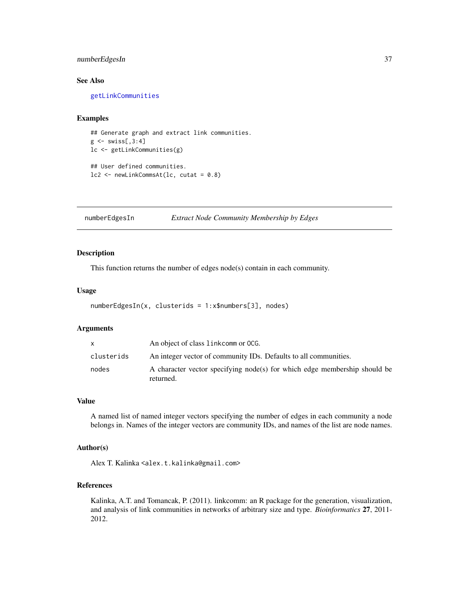## <span id="page-36-0"></span>numberEdgesIn 37

## See Also

[getLinkCommunities](#page-16-1)

## Examples

```
## Generate graph and extract link communities.
g \leftarrow swiss[,3:4]
lc <- getLinkCommunities(g)
## User defined communities.
lc2 \le newLinkCommsAt(lc, cutat = 0.8)
```
numberEdgesIn *Extract Node Community Membership by Edges*

## Description

This function returns the number of edges node(s) contain in each community.

#### Usage

```
numberEdgesIn(x, clusterids = 1:x$numbers[3], nodes)
```
## Arguments

| X          | An object of class link comm or OCG.                                                   |
|------------|----------------------------------------------------------------------------------------|
| clusterids | An integer vector of community IDs. Defaults to all communities.                       |
| nodes      | A character vector specifying node(s) for which edge membership should be<br>returned. |

## Value

A named list of named integer vectors specifying the number of edges in each community a node belongs in. Names of the integer vectors are community IDs, and names of the list are node names.

## Author(s)

Alex T. Kalinka <alex.t.kalinka@gmail.com>

## References

Kalinka, A.T. and Tomancak, P. (2011). linkcomm: an R package for the generation, visualization, and analysis of link communities in networks of arbitrary size and type. *Bioinformatics* 27, 2011- 2012.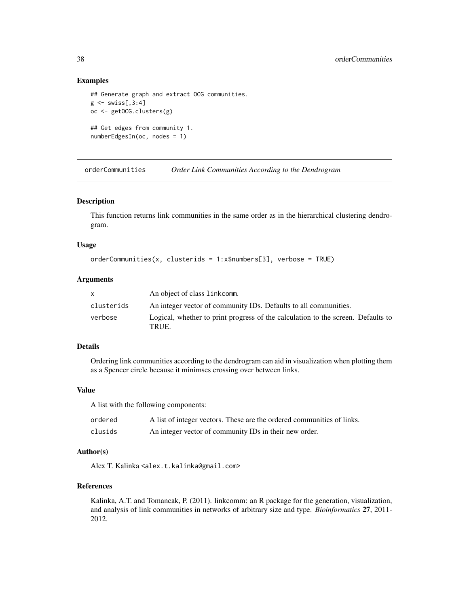#### Examples

```
## Generate graph and extract OCG communities.
g \leftarrow swiss[,3:4]
oc <- getOCG.clusters(g)
## Get edges from community 1.
numberEdgesIn(oc, nodes = 1)
```
orderCommunities *Order Link Communities According to the Dendrogram*

#### Description

This function returns link communities in the same order as in the hierarchical clustering dendrogram.

#### Usage

```
orderCommunities(x, clusterids = 1:x$numbers[3], verbose = TRUE)
```
#### Arguments

| $\mathsf{x}$ | An object of class linkcomm.                                                              |
|--------------|-------------------------------------------------------------------------------------------|
| clusterids   | An integer vector of community IDs. Defaults to all communities.                          |
| verbose      | Logical, whether to print progress of the calculation to the screen. Defaults to<br>TRUE. |

## Details

Ordering link communities according to the dendrogram can aid in visualization when plotting them as a Spencer circle because it minimses crossing over between links.

#### Value

A list with the following components:

| ordered | A list of integer vectors. These are the ordered communities of links. |
|---------|------------------------------------------------------------------------|
| clusids | An integer vector of community IDs in their new order.                 |

## Author(s)

Alex T. Kalinka <alex.t.kalinka@gmail.com>

## References

Kalinka, A.T. and Tomancak, P. (2011). linkcomm: an R package for the generation, visualization, and analysis of link communities in networks of arbitrary size and type. *Bioinformatics* 27, 2011- 2012.

<span id="page-37-0"></span>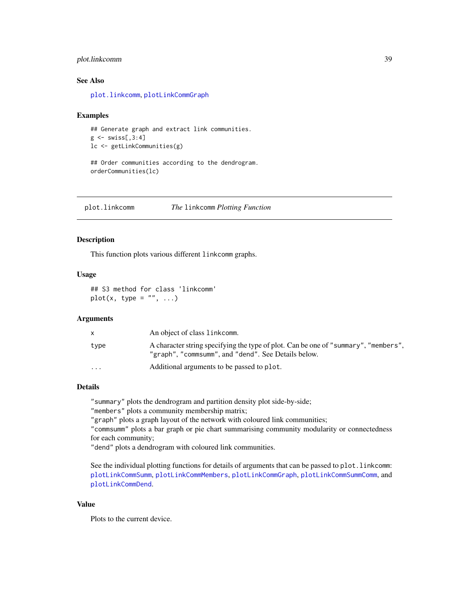## <span id="page-38-0"></span>plot.linkcomm 39

#### See Also

[plot.linkcomm](#page-38-1), [plotLinkCommGraph](#page-42-1)

#### Examples

```
## Generate graph and extract link communities.
g \leftarrow swiss[,3:4]
lc <- getLinkCommunities(g)
```
## Order communities according to the dendrogram. orderCommunities(lc)

<span id="page-38-1"></span>plot.linkcomm *The* linkcomm *Plotting Function*

## Description

This function plots various different linkcomm graphs.

#### Usage

## S3 method for class 'linkcomm'  $plot(x, type = "", ...)$ 

#### Arguments

|           | An object of class linkcomm.                                                                                                               |
|-----------|--------------------------------------------------------------------------------------------------------------------------------------------|
| type      | A character string specifying the type of plot. Can be one of "summary", "members",<br>"graph", "commsumm", and "dend". See Details below. |
| $\ddotsc$ | Additional arguments to be passed to plot.                                                                                                 |

#### Details

"summary" plots the dendrogram and partition density plot side-by-side;

"members" plots a community membership matrix;

"graph" plots a graph layout of the network with coloured link communities;

"commsumm" plots a bar graph or pie chart summarising community modularity or connectedness for each community;

"dend" plots a dendrogram with coloured link communities.

See the individual plotting functions for details of arguments that can be passed to plot. linkcomm: [plotLinkCommSumm](#page-46-1), [plotLinkCommMembers](#page-45-1), [plotLinkCommGraph](#page-42-1), [plotLinkCommSummComm](#page-47-1), and [plotLinkCommDend](#page-40-1).

## Value

Plots to the current device.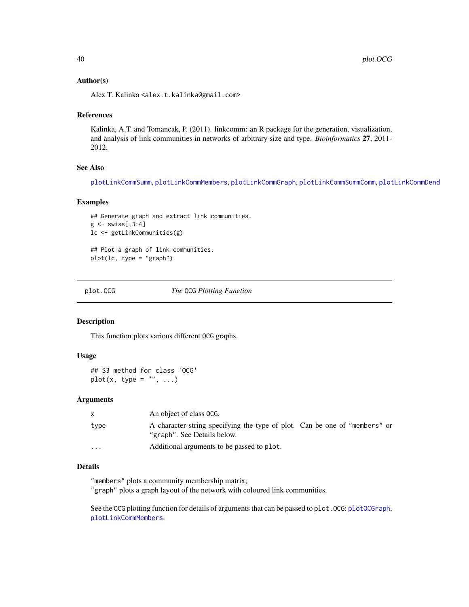#### <span id="page-39-0"></span>Author(s)

Alex T. Kalinka <alex.t.kalinka@gmail.com>

#### References

Kalinka, A.T. and Tomancak, P. (2011). linkcomm: an R package for the generation, visualization, and analysis of link communities in networks of arbitrary size and type. *Bioinformatics* 27, 2011- 2012.

## See Also

[plotLinkCommSumm](#page-46-1), [plotLinkCommMembers](#page-45-1), [plotLinkCommGraph](#page-42-1), [plotLinkCommSummComm](#page-47-1), [plotLinkCommDend](#page-40-1)

## Examples

```
## Generate graph and extract link communities.
g \leftarrow \text{swiss[, 3:4}lc <- getLinkCommunities(g)
## Plot a graph of link communities.
plot(lc, type = "graph")
```
<span id="page-39-1"></span>

plot.OCG *The* OCG *Plotting Function*

## Description

This function plots various different OCG graphs.

#### Usage

## S3 method for class 'OCG'  $plot(x, type = "", ...)$ 

## Arguments

|           | An object of class OCG.                                                                                   |
|-----------|-----------------------------------------------------------------------------------------------------------|
| type      | A character string specifying the type of plot. Can be one of "members" or<br>"graph". See Details below. |
| $\ddotsc$ | Additional arguments to be passed to plot.                                                                |

## Details

"members" plots a community membership matrix;

"graph" plots a graph layout of the network with coloured link communities.

See the OCG plotting function for details of arguments that can be passed to plot.OCG: [plotOCGraph](#page-49-1), [plotLinkCommMembers](#page-45-1).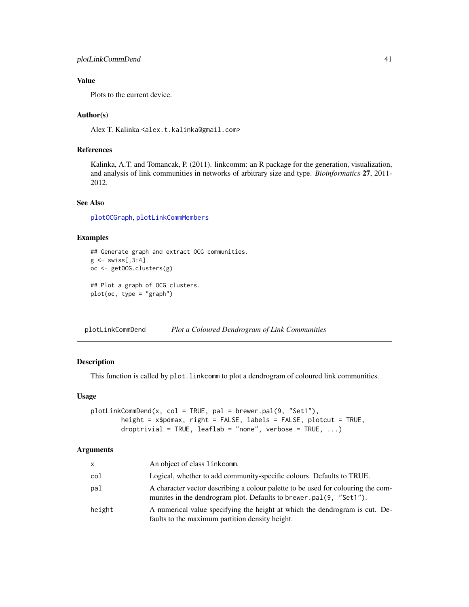## <span id="page-40-0"></span>Value

Plots to the current device.

#### Author(s)

Alex T. Kalinka <alex.t.kalinka@gmail.com>

#### References

Kalinka, A.T. and Tomancak, P. (2011). linkcomm: an R package for the generation, visualization, and analysis of link communities in networks of arbitrary size and type. *Bioinformatics* 27, 2011- 2012.

## See Also

[plotOCGraph](#page-49-1), [plotLinkCommMembers](#page-45-1)

#### Examples

```
## Generate graph and extract OCG communities.
g \leftarrow swiss[,3:4]
oc <- getOCG.clusters(g)
## Plot a graph of OCG clusters.
plot(oc, type = "graph")
```
<span id="page-40-1"></span>plotLinkCommDend *Plot a Coloured Dendrogram of Link Communities*

## Description

This function is called by plot.linkcomm to plot a dendrogram of coloured link communities.

## Usage

```
plotLinkCommDend(x, col = TRUE, pal = brewer.pal(9, "Set1"),
        height = x$pdmax, right = FALSE, labels = FALSE, plotcut = TRUE,
        droptrivial = TRUE, leaflab = "none", verbose = TRUE, \ldots)
```
#### Arguments

| $\mathsf{x}$ | An object of class link comm.                                                                                                                           |
|--------------|---------------------------------------------------------------------------------------------------------------------------------------------------------|
| col          | Logical, whether to add community-specific colours. Defaults to TRUE.                                                                                   |
| pal          | A character vector describing a colour palette to be used for colouring the com-<br>munities in the dendrogram plot. Defaults to brewer.pal(9, "Set1"). |
| height       | A numerical value specifying the height at which the dendrogram is cut. De-<br>faults to the maximum partition density height.                          |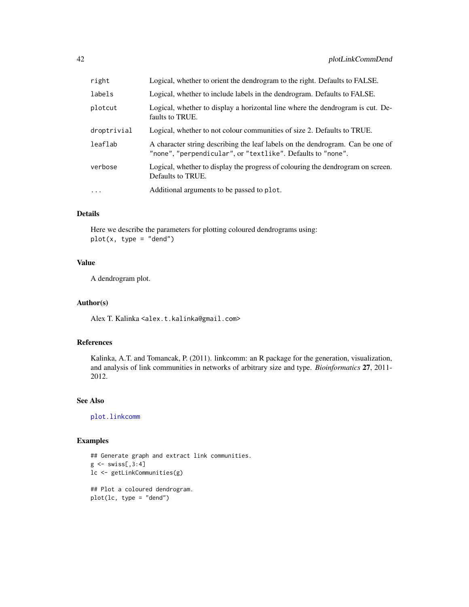<span id="page-41-0"></span>

| right       | Logical, whether to orient the dendrogram to the right. Defaults to FALSE.                                                                    |
|-------------|-----------------------------------------------------------------------------------------------------------------------------------------------|
| labels      | Logical, whether to include labels in the dendrogram. Defaults to FALSE.                                                                      |
| plotcut     | Logical, whether to display a horizontal line where the dendrogram is cut. De-<br>faults to TRUE.                                             |
| droptrivial | Logical, whether to not colour communities of size 2. Defaults to TRUE.                                                                       |
| leaflab     | A character string describing the leaf labels on the dendrogram. Can be one of<br>"none", "perpendicular", or "textlike". Defaults to "none". |
| verbose     | Logical, whether to display the progress of colouring the dendrogram on screen.<br>Defaults to TRUE.                                          |
| $\ddotsc$   | Additional arguments to be passed to plot.                                                                                                    |

## Details

Here we describe the parameters for plotting coloured dendrograms using:  $plot(x, type = "dend")$ 

## Value

A dendrogram plot.

## Author(s)

Alex T. Kalinka <alex.t.kalinka@gmail.com>

## References

Kalinka, A.T. and Tomancak, P. (2011). linkcomm: an R package for the generation, visualization, and analysis of link communities in networks of arbitrary size and type. *Bioinformatics* 27, 2011- 2012.

## See Also

[plot.linkcomm](#page-38-1)

## Examples

```
## Generate graph and extract link communities.
g \leftarrow \text{swiss[, 3:4}lc <- getLinkCommunities(g)
## Plot a coloured dendrogram.
plot(lc, type = "dend")
```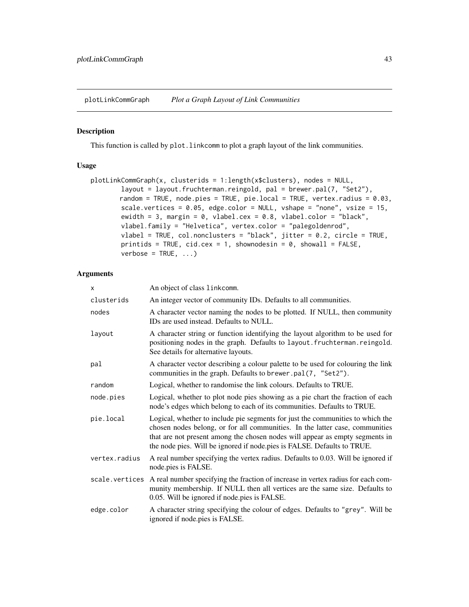<span id="page-42-1"></span><span id="page-42-0"></span>plotLinkCommGraph *Plot a Graph Layout of Link Communities*

#### Description

This function is called by plot.linkcomm to plot a graph layout of the link communities.

## Usage

```
plotLinkCommGraph(x, clusterids = 1:length(x$clusters), nodes = NULL,
       layout = layout.fruchterman.reingold, pal = brewer.pal(7, "Set2"),
       random = TRUE, node.pies = TRUE, pie.local = TRUE, vertex.radius = 0.03,
       scale.vertices = 0.05, edge.color = NULL, vshape = "none", vsize = 15,
       ewidth = 3, margin = 0, vlabel.cex = 0.8, vlabel.color = "black",
       vlabel.family = "Helvetica", vertex.color = "palegoldenrod",
       vlabel = TRUE, col.nonclusters = "black", jitter = 0.2, circle = TRUE,
       printids = TRUE, cid.cex = 1, shownodesin = 0, showall = FALSE,
       verbose = TRUE, ...
```
## Arguments

| X              | An object of class linkcomm.                                                                                                                                                                                                                                                                                              |  |
|----------------|---------------------------------------------------------------------------------------------------------------------------------------------------------------------------------------------------------------------------------------------------------------------------------------------------------------------------|--|
| clusterids     | An integer vector of community IDs. Defaults to all communities.                                                                                                                                                                                                                                                          |  |
| nodes          | A character vector naming the nodes to be plotted. If NULL, then community<br>IDs are used instead. Defaults to NULL.                                                                                                                                                                                                     |  |
| layout         | A character string or function identifying the layout algorithm to be used for<br>positioning nodes in the graph. Defaults to layout. fruchterman. reingold.<br>See details for alternative layouts.                                                                                                                      |  |
| pal            | A character vector describing a colour palette to be used for colouring the link<br>communities in the graph. Defaults to brewer.pal(7, "Set2").                                                                                                                                                                          |  |
| random         | Logical, whether to randomise the link colours. Defaults to TRUE.                                                                                                                                                                                                                                                         |  |
| node.pies      | Logical, whether to plot node pies showing as a pie chart the fraction of each<br>node's edges which belong to each of its communities. Defaults to TRUE.                                                                                                                                                                 |  |
| pie.local      | Logical, whether to include pie segments for just the communities to which the<br>chosen nodes belong, or for all communities. In the latter case, communities<br>that are not present among the chosen nodes will appear as empty segments in<br>the node pies. Will be ignored if node pies is FALSE. Defaults to TRUE. |  |
| vertex.radius  | A real number specifying the vertex radius. Defaults to 0.03. Will be ignored if<br>node.pies is FALSE.                                                                                                                                                                                                                   |  |
| scale.vertices | A real number specifying the fraction of increase in vertex radius for each com-<br>munity membership. If NULL then all vertices are the same size. Defaults to<br>0.05. Will be ignored if node pies is FALSE.                                                                                                           |  |
| edge.color     | A character string specifying the colour of edges. Defaults to "grey". Will be<br>ignored if node.pies is FALSE.                                                                                                                                                                                                          |  |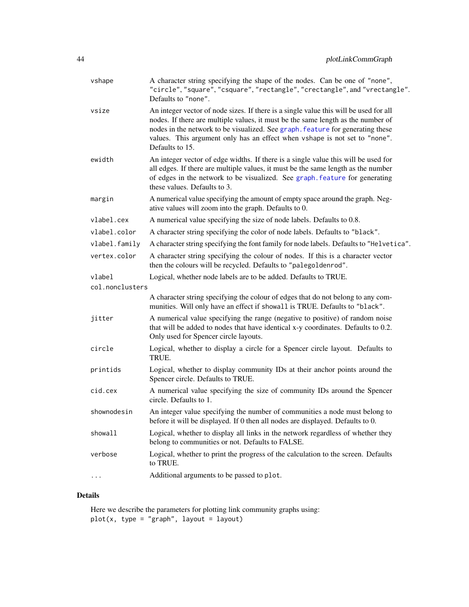<span id="page-43-0"></span>

| vshape          | A character string specifying the shape of the nodes. Can be one of "none",<br>"circle", "square", "csquare", "rectangle", "crectangle", and "vrectangle".<br>Defaults to "none".                                                                                                                                                                            |
|-----------------|--------------------------------------------------------------------------------------------------------------------------------------------------------------------------------------------------------------------------------------------------------------------------------------------------------------------------------------------------------------|
| vsize           | An integer vector of node sizes. If there is a single value this will be used for all<br>nodes. If there are multiple values, it must be the same length as the number of<br>nodes in the network to be visualized. See graph, feature for generating these<br>values. This argument only has an effect when vshape is not set to "none".<br>Defaults to 15. |
| ewidth          | An integer vector of edge widths. If there is a single value this will be used for<br>all edges. If there are multiple values, it must be the same length as the number<br>of edges in the network to be visualized. See graph. feature for generating<br>these values. Defaults to 3.                                                                       |
| margin          | A numerical value specifying the amount of empty space around the graph. Neg-<br>ative values will zoom into the graph. Defaults to 0.                                                                                                                                                                                                                       |
| vlabel.cex      | A numerical value specifying the size of node labels. Defaults to 0.8.                                                                                                                                                                                                                                                                                       |
| vlabel.color    | A character string specifying the color of node labels. Defaults to "black".                                                                                                                                                                                                                                                                                 |
| vlabel.family   | A character string specifying the font family for node labels. Defaults to "Helvetica".                                                                                                                                                                                                                                                                      |
| vertex.color    | A character string specifying the colour of nodes. If this is a character vector<br>then the colours will be recycled. Defaults to "palegoldenrod".                                                                                                                                                                                                          |
| vlabel          | Logical, whether node labels are to be added. Defaults to TRUE.                                                                                                                                                                                                                                                                                              |
| col.nonclusters |                                                                                                                                                                                                                                                                                                                                                              |
|                 | A character string specifying the colour of edges that do not belong to any com-<br>munities. Will only have an effect if showall is TRUE. Defaults to "black".                                                                                                                                                                                              |
| jitter          | A numerical value specifying the range (negative to positive) of random noise<br>that will be added to nodes that have identical x-y coordinates. Defaults to 0.2.<br>Only used for Spencer circle layouts.                                                                                                                                                  |
| circle          | Logical, whether to display a circle for a Spencer circle layout. Defaults to<br>TRUE.                                                                                                                                                                                                                                                                       |
| printids        | Logical, whether to display community IDs at their anchor points around the<br>Spencer circle. Defaults to TRUE.                                                                                                                                                                                                                                             |
| cid.cex         | A numerical value specifying the size of community IDs around the Spencer<br>circle. Defaults to 1.                                                                                                                                                                                                                                                          |
| shownodesin     | An integer value specifying the number of communities a node must belong to<br>before it will be displayed. If 0 then all nodes are displayed. Defaults to 0.                                                                                                                                                                                                |
| showall         | Logical, whether to display all links in the network regardless of whether they<br>belong to communities or not. Defaults to FALSE.                                                                                                                                                                                                                          |
| verbose         | Logical, whether to print the progress of the calculation to the screen. Defaults<br>to TRUE.                                                                                                                                                                                                                                                                |
|                 | Additional arguments to be passed to plot.                                                                                                                                                                                                                                                                                                                   |

## Details

Here we describe the parameters for plotting link community graphs using:  $plot(x, type = "graph", layout = layout)$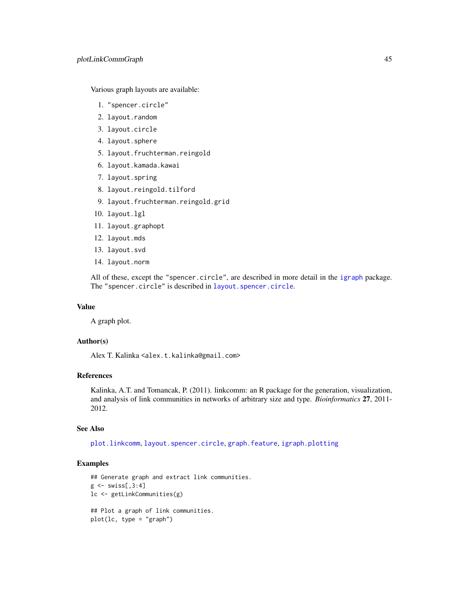<span id="page-44-0"></span>Various graph layouts are available:

- 1. "spencer.circle"
- 2. layout.random
- 3. layout.circle
- 4. layout.sphere
- 5. layout.fruchterman.reingold
- 6. layout.kamada.kawai
- 7. layout.spring
- 8. layout.reingold.tilford
- 9. layout.fruchterman.reingold.grid
- 10. layout.lgl
- 11. layout.graphopt
- 12. layout.mds
- 13. layout.svd
- 14. layout.norm

All of these, except the "spencer.circle", are described in more detail in the [igraph](#page-0-0) package. The "spencer.circle" is described in [layout.spencer.circle](#page-27-1).

#### Value

A graph plot.

## Author(s)

Alex T. Kalinka <alex.t.kalinka@gmail.com>

## References

Kalinka, A.T. and Tomancak, P. (2011). linkcomm: an R package for the generation, visualization, and analysis of link communities in networks of arbitrary size and type. *Bioinformatics* 27, 2011- 2012.

#### See Also

[plot.linkcomm](#page-38-1), [layout.spencer.circle](#page-27-1), [graph.feature](#page-23-1), [igraph.plotting](#page-0-0)

#### Examples

```
## Generate graph and extract link communities.
g \leftarrow swiss[,3:4]
lc <- getLinkCommunities(g)
## Plot a graph of link communities.
plot(lc, type = "graph")
```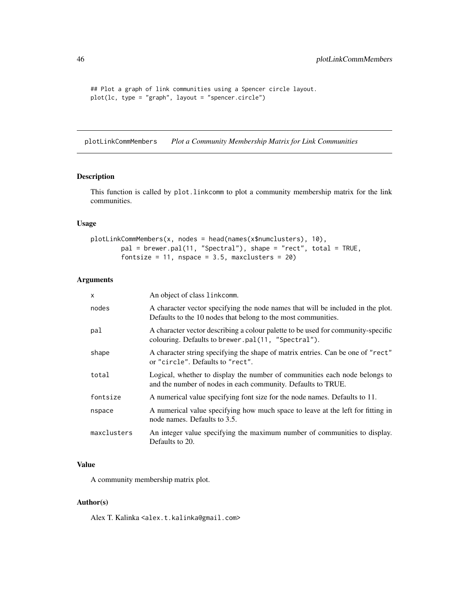```
## Plot a graph of link communities using a Spencer circle layout.
plot(lc, type = "graph", layout = "spencer.circle")
```
<span id="page-45-1"></span>plotLinkCommMembers *Plot a Community Membership Matrix for Link Communities*

## Description

This function is called by plot.linkcomm to plot a community membership matrix for the link communities.

#### Usage

```
plotLinkCommMembers(x, nodes = head(names(x$numclusters), 10),
        pal = brewer.pal(11, "Spectral"), shape = "rect", total = TRUE,
        fontsize = 11, nspace = 3.5, maxclusters = 20)
```
## Arguments

| $\mathsf{x}$ | An object of class linkcomm.                                                                                                                     |
|--------------|--------------------------------------------------------------------------------------------------------------------------------------------------|
| nodes        | A character vector specifying the node names that will be included in the plot.<br>Defaults to the 10 nodes that belong to the most communities. |
| pal          | A character vector describing a colour palette to be used for community-specific<br>colouring. Defaults to brewer.pal(11, "Spectral").           |
| shape        | A character string specifying the shape of matrix entries. Can be one of "rect"<br>or "circle". Defaults to "rect".                              |
| total        | Logical, whether to display the number of communities each node belongs to<br>and the number of nodes in each community. Defaults to TRUE.       |
| fontsize     | A numerical value specifying font size for the node names. Defaults to 11.                                                                       |
| nspace       | A numerical value specifying how much space to leave at the left for fitting in<br>node names. Defaults to 3.5.                                  |
| maxclusters  | An integer value specifying the maximum number of communities to display.<br>Defaults to 20.                                                     |

## Value

A community membership matrix plot.

## Author(s)

<span id="page-45-0"></span>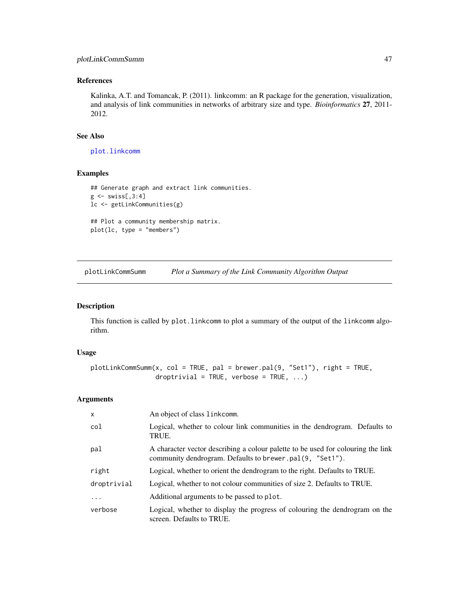## <span id="page-46-0"></span>plotLinkCommSumm 47

## References

Kalinka, A.T. and Tomancak, P. (2011). linkcomm: an R package for the generation, visualization, and analysis of link communities in networks of arbitrary size and type. *Bioinformatics* 27, 2011- 2012.

## See Also

[plot.linkcomm](#page-38-1)

## Examples

```
## Generate graph and extract link communities.
g \leftarrow \text{swiss[, 3:4}lc <- getLinkCommunities(g)
## Plot a community membership matrix.
plot(lc, type = "members")
```
<span id="page-46-1"></span>plotLinkCommSumm *Plot a Summary of the Link Community Algorithm Output*

#### Description

This function is called by plot. Linkcomm to plot a summary of the output of the linkcomm algorithm.

#### Usage

```
plotLinkCommSumm(x, col = TRUE, pal = brewer.pal(9, "Set1"), right = TRUE,
                 droptrivial = TRUE, verbose = TRUE, \ldots)
```
#### Arguments

| $\mathsf{x}$ | An object of class linkcomm.                                                                                                                 |
|--------------|----------------------------------------------------------------------------------------------------------------------------------------------|
| col          | Logical, whether to colour link communities in the dendrogram. Defaults to<br>TRUE.                                                          |
| pal          | A character vector describing a colour palette to be used for colouring the link<br>community dendrogram. Defaults to brewer.pal(9, "Set1"). |
| right        | Logical, whether to orient the dendrogram to the right. Defaults to TRUE.                                                                    |
| droptrivial  | Logical, whether to not colour communities of size 2. Defaults to TRUE.                                                                      |
| $\cdot$      | Additional arguments to be passed to plot.                                                                                                   |
| verbose      | Logical, whether to display the progress of colouring the dendrogram on the<br>screen. Defaults to TRUE.                                     |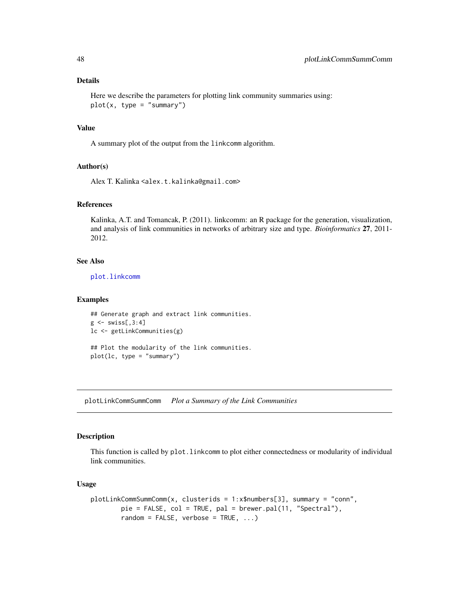## Details

```
Here we describe the parameters for plotting link community summaries using:
plot(x, type = "summary")
```
## Value

A summary plot of the output from the linkcomm algorithm.

#### Author(s)

Alex T. Kalinka <alex.t.kalinka@gmail.com>

#### References

Kalinka, A.T. and Tomancak, P. (2011). linkcomm: an R package for the generation, visualization, and analysis of link communities in networks of arbitrary size and type. *Bioinformatics* 27, 2011- 2012.

## See Also

[plot.linkcomm](#page-38-1)

#### Examples

```
## Generate graph and extract link communities.
g \leftarrow swiss[,3:4]
lc <- getLinkCommunities(g)
## Plot the modularity of the link communities.
plot(lc, type = "summary")
```
<span id="page-47-1"></span>plotLinkCommSummComm *Plot a Summary of the Link Communities*

## Description

This function is called by plot.linkcomm to plot either connectedness or modularity of individual link communities.

#### Usage

```
plotLinkCommSummComm(x, clusterids = 1:x$numbers[3], summary = "conn",
       pie = FALSE, col = TRUE, pal = brewer.pal(11, "Spectral"),
       random = FALSE, verbose = TRUE, ...)
```
<span id="page-47-0"></span>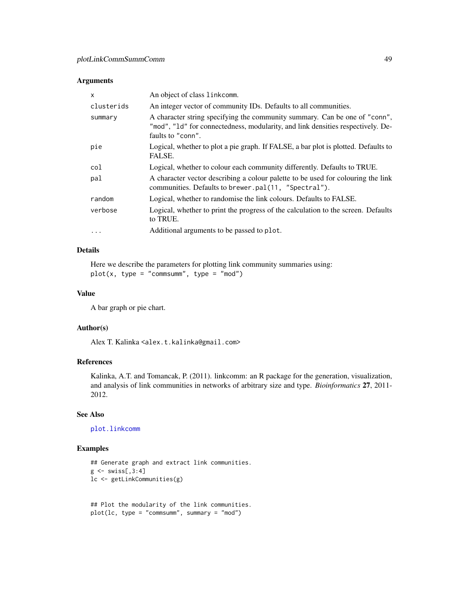## <span id="page-48-0"></span>Arguments

| $\mathsf{x}$ | An object of class linkcomm.                                                                                                                                                       |
|--------------|------------------------------------------------------------------------------------------------------------------------------------------------------------------------------------|
| clusterids   | An integer vector of community IDs. Defaults to all communities.                                                                                                                   |
| summary      | A character string specifying the community summary. Can be one of "conn",<br>"mod", "1d" for connectedness, modularity, and link densities respectively. De-<br>faults to "conn". |
| pie          | Logical, whether to plot a pie graph. If FALSE, a bar plot is plotted. Defaults to<br>FALSE.                                                                                       |
| col          | Logical, whether to colour each community differently. Defaults to TRUE.                                                                                                           |
| pal          | A character vector describing a colour palette to be used for colouring the link<br>communities. Defaults to brewer.pal(11, "Spectral").                                           |
| random       | Logical, whether to randomise the link colours. Defaults to FALSE.                                                                                                                 |
| verbose      | Logical, whether to print the progress of the calculation to the screen. Defaults<br>to TRUE.                                                                                      |
| $\cdots$     | Additional arguments to be passed to plot.                                                                                                                                         |

## Details

Here we describe the parameters for plotting link community summaries using:  $plot(x, type = "commsumm", type = "mod")$ 

#### Value

A bar graph or pie chart.

#### Author(s)

Alex T. Kalinka <alex.t.kalinka@gmail.com>

## References

Kalinka, A.T. and Tomancak, P. (2011). linkcomm: an R package for the generation, visualization, and analysis of link communities in networks of arbitrary size and type. *Bioinformatics* 27, 2011- 2012.

#### See Also

[plot.linkcomm](#page-38-1)

#### Examples

```
## Generate graph and extract link communities.
g \leftarrow \text{swiss[, 3:4}lc <- getLinkCommunities(g)
```

```
## Plot the modularity of the link communities.
plot(lc, type = "commsumm", summary = "mod")
```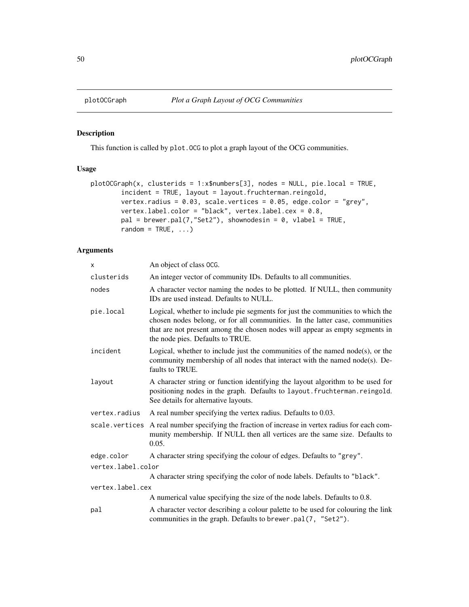<span id="page-49-1"></span><span id="page-49-0"></span>

#### Description

This function is called by plot.OCG to plot a graph layout of the OCG communities.

## Usage

```
plotOCGraph(x, clusterids = 1:x$numbers[3], nodes = NULL, pie.local = TRUE,
        incident = TRUE, layout = layout.fruchterman.reingold,
        vertex.radius = 0.03, scale.vertices = 0.05, edge.color = "grey",
        vertex.label.color = "black", vertex.label.cex = 0.8,
        pal = brewer.pal(7, "Set2"), shownodesin = 0, vlabel = TRUE,
        random = TRUE, \ldots)
```
## Arguments

| X                  | An object of class OCG.                                                                                                                                                                                                                                                            |  |
|--------------------|------------------------------------------------------------------------------------------------------------------------------------------------------------------------------------------------------------------------------------------------------------------------------------|--|
| clusterids         | An integer vector of community IDs. Defaults to all communities.                                                                                                                                                                                                                   |  |
| nodes              | A character vector naming the nodes to be plotted. If NULL, then community<br>IDs are used instead. Defaults to NULL.                                                                                                                                                              |  |
| pie.local          | Logical, whether to include pie segments for just the communities to which the<br>chosen nodes belong, or for all communities. In the latter case, communities<br>that are not present among the chosen nodes will appear as empty segments in<br>the node pies. Defaults to TRUE. |  |
| incident           | Logical, whether to include just the communities of the named $node(s)$ , or the<br>community membership of all nodes that interact with the named node(s). De-<br>faults to TRUE.                                                                                                 |  |
| layout             | A character string or function identifying the layout algorithm to be used for<br>positioning nodes in the graph. Defaults to layout. fruchterman. reingold.<br>See details for alternative layouts.                                                                               |  |
| vertex.radius      | A real number specifying the vertex radius. Defaults to 0.03.                                                                                                                                                                                                                      |  |
| scale.vertices     | A real number specifying the fraction of increase in vertex radius for each com-<br>munity membership. If NULL then all vertices are the same size. Defaults to<br>0.05.                                                                                                           |  |
| edge.color         | A character string specifying the colour of edges. Defaults to "grey".                                                                                                                                                                                                             |  |
| vertex.label.color |                                                                                                                                                                                                                                                                                    |  |
|                    | A character string specifying the color of node labels. Defaults to "black".                                                                                                                                                                                                       |  |
| vertex.label.cex   |                                                                                                                                                                                                                                                                                    |  |
|                    | A numerical value specifying the size of the node labels. Defaults to 0.8.                                                                                                                                                                                                         |  |
| pal                | A character vector describing a colour palette to be used for colouring the link<br>communities in the graph. Defaults to brewer.pal(7, "Set2").                                                                                                                                   |  |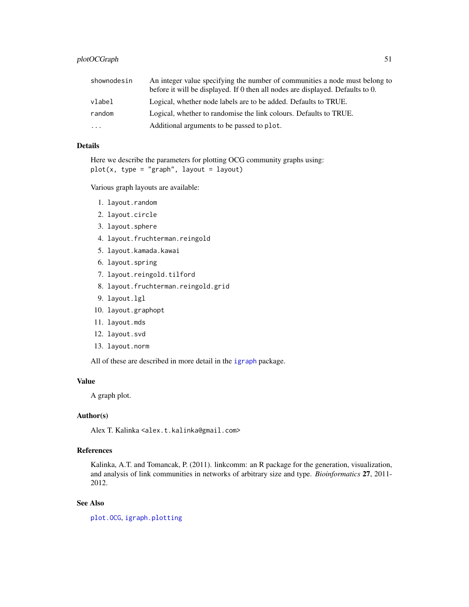<span id="page-50-0"></span>

| shownodesin             | An integer value specifying the number of communities a node must belong to<br>before it will be displayed. If 0 then all nodes are displayed. Defaults to 0. |
|-------------------------|---------------------------------------------------------------------------------------------------------------------------------------------------------------|
| vlabel                  | Logical, whether node labels are to be added. Defaults to TRUE.                                                                                               |
| random                  | Logical, whether to randomise the link colours. Defaults to TRUE.                                                                                             |
| $\cdot$ $\cdot$ $\cdot$ | Additional arguments to be passed to plot.                                                                                                                    |

## Details

Here we describe the parameters for plotting OCG community graphs using:  $plot(x, type = "graph", layout = layout)$ 

Various graph layouts are available:

- 1. layout.random
- 2. layout.circle
- 3. layout.sphere
- 4. layout.fruchterman.reingold
- 5. layout.kamada.kawai
- 6. layout.spring
- 7. layout.reingold.tilford
- 8. layout.fruchterman.reingold.grid
- 9. layout.lgl
- 10. layout.graphopt
- 11. layout.mds
- 12. layout.svd
- 13. layout.norm

All of these are described in more detail in the [igraph](#page-0-0) package.

## Value

A graph plot.

## Author(s)

Alex T. Kalinka <alex.t.kalinka@gmail.com>

## References

Kalinka, A.T. and Tomancak, P. (2011). linkcomm: an R package for the generation, visualization, and analysis of link communities in networks of arbitrary size and type. *Bioinformatics* 27, 2011- 2012.

## See Also

[plot.OCG](#page-39-1), [igraph.plotting](#page-0-0)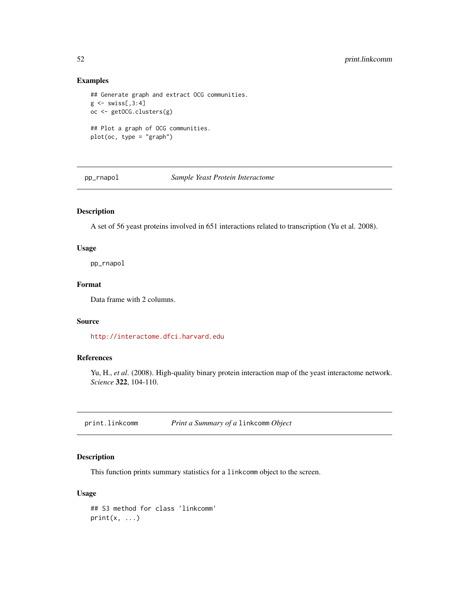## Examples

```
## Generate graph and extract OCG communities.
g \leftarrow \text{swiss[, 3:4}oc <- getOCG.clusters(g)
## Plot a graph of OCG communities.
plot(oc, type = "graph")
```
<span id="page-51-1"></span>pp\_rnapol *Sample Yeast Protein Interactome*

## Description

A set of 56 yeast proteins involved in 651 interactions related to transcription (Yu et al. 2008).

#### Usage

pp\_rnapol

#### Format

Data frame with 2 columns.

#### Source

<http://interactome.dfci.harvard.edu>

## References

Yu, H., *et al*. (2008). High-quality binary protein interaction map of the yeast interactome network. *Science* 322, 104-110.

print.linkcomm *Print a Summary of a* linkcomm *Object*

## Description

This function prints summary statistics for a linkcomm object to the screen.

## Usage

```
## S3 method for class 'linkcomm'
print(x, \ldots)
```
<span id="page-51-0"></span>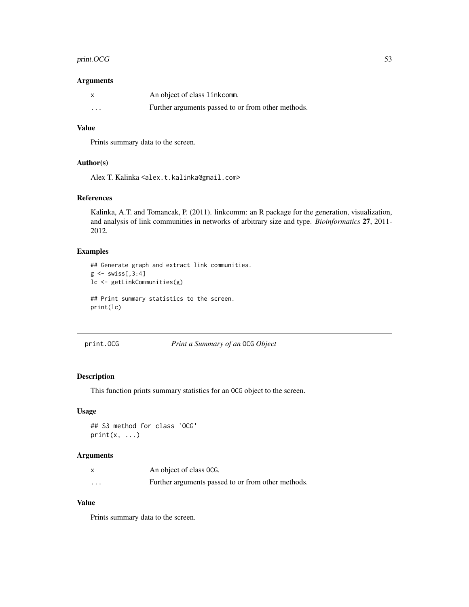## <span id="page-52-0"></span>print. OCG 53

#### Arguments

| $\boldsymbol{\mathsf{x}}$ | An object of class linkcomm.                       |
|---------------------------|----------------------------------------------------|
| $\cdots$                  | Further arguments passed to or from other methods. |

## Value

Prints summary data to the screen.

#### Author(s)

Alex T. Kalinka <alex.t.kalinka@gmail.com>

## References

Kalinka, A.T. and Tomancak, P. (2011). linkcomm: an R package for the generation, visualization, and analysis of link communities in networks of arbitrary size and type. *Bioinformatics* 27, 2011- 2012.

#### Examples

```
## Generate graph and extract link communities.
g \leftarrow swiss[,3:4]
lc <- getLinkCommunities(g)
## Print summary statistics to the screen.
```
print(lc)

print.OCG *Print a Summary of an* OCG *Object*

## Description

This function prints summary statistics for an OCG object to the screen.

## Usage

## S3 method for class 'OCG'  $print(x, \ldots)$ 

## Arguments

|          | An object of class OCG.                            |
|----------|----------------------------------------------------|
| $\cdots$ | Further arguments passed to or from other methods. |

## Value

Prints summary data to the screen.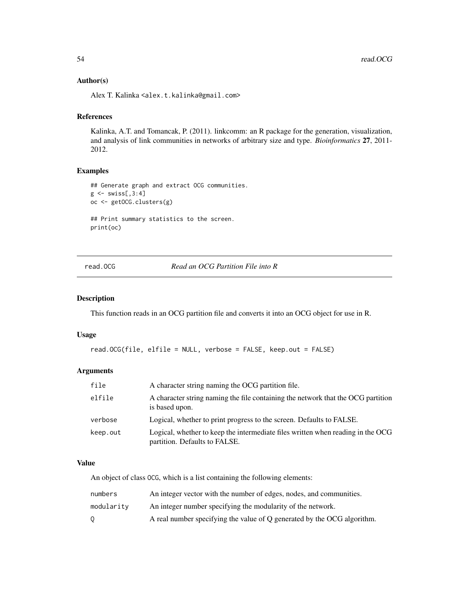#### <span id="page-53-0"></span>Author(s)

Alex T. Kalinka <alex.t.kalinka@gmail.com>

## References

Kalinka, A.T. and Tomancak, P. (2011). linkcomm: an R package for the generation, visualization, and analysis of link communities in networks of arbitrary size and type. *Bioinformatics* 27, 2011- 2012.

## Examples

```
## Generate graph and extract OCG communities.
g \leftarrow swiss[,3:4]
oc <- getOCG.clusters(g)
## Print summary statistics to the screen.
print(oc)
```
read.OCG *Read an OCG Partition File into R*

#### Description

This function reads in an OCG partition file and converts it into an OCG object for use in R.

#### Usage

```
read.OCG(file, elfile = NULL, verbose = FALSE, keep.out = FALSE)
```
## Arguments

| file     | A character string naming the OCG partition file.                                                                |
|----------|------------------------------------------------------------------------------------------------------------------|
| elfile   | A character string naming the file containing the network that the OCG partition<br>is based upon.               |
| verbose  | Logical, whether to print progress to the screen. Defaults to FALSE.                                             |
| keep.out | Logical, whether to keep the intermediate files written when reading in the OCG<br>partition. Defaults to FALSE. |

#### Value

An object of class OCG, which is a list containing the following elements:

| numbers    | An integer vector with the number of edges, nodes, and communities.     |
|------------|-------------------------------------------------------------------------|
| modularitv | An integer number specifying the modularity of the network.             |
|            | A real number specifying the value of Q generated by the OCG algorithm. |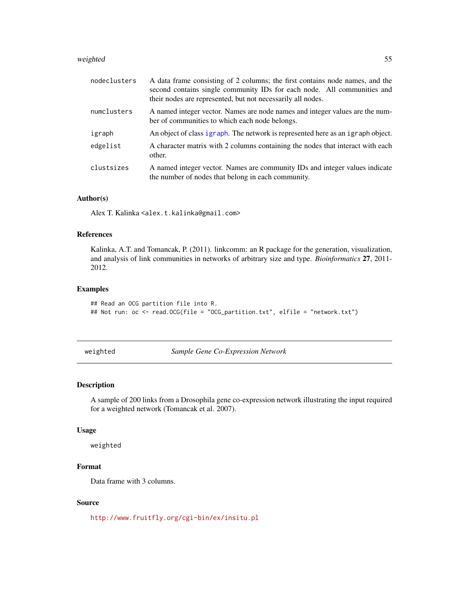#### <span id="page-54-0"></span>weighted 55

| nodeclusters | A data frame consisting of 2 columns; the first contains node names, and the<br>second contains single community IDs for each node. All communities and<br>their nodes are represented, but not necessarily all nodes. |
|--------------|------------------------------------------------------------------------------------------------------------------------------------------------------------------------------------------------------------------------|
| numclusters  | A named integer vector. Names are node names and integer values are the num-<br>ber of communities to which each node belongs.                                                                                         |
| igraph       | An object of class igraph. The network is represented here as an igraph object.                                                                                                                                        |
| edgelist     | A character matrix with 2 columns containing the nodes that interact with each<br>other.                                                                                                                               |
| clustsizes   | A named integer vector. Names are community IDs and integer values indicate<br>the number of nodes that belong in each community.                                                                                      |

#### Author(s)

Alex T. Kalinka <alex.t.kalinka@gmail.com>

## References

Kalinka, A.T. and Tomancak, P. (2011). linkcomm: an R package for the generation, visualization, and analysis of link communities in networks of arbitrary size and type. *Bioinformatics* 27, 2011- 2012.

#### Examples

```
## Read an OCG partition file into R.
## Not run: oc <- read.OCG(file = "OCG_partition.txt", elfile = "network.txt")
```
<span id="page-54-1"></span>weighted *Sample Gene Co-Expression Network*

## Description

A sample of 200 links from a Drosophila gene co-expression network illustrating the input required for a weighted network (Tomancak et al. 2007).

#### Usage

weighted

## Format

Data frame with 3 columns.

## Source

<http://www.fruitfly.org/cgi-bin/ex/insitu.pl>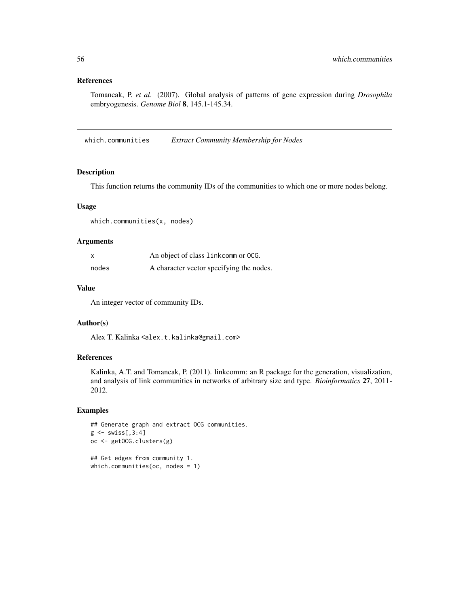## <span id="page-55-0"></span>References

Tomancak, P. *et al*. (2007). Global analysis of patterns of gene expression during *Drosophila* embryogenesis. *Genome Biol* 8, 145.1-145.34.

which.communities *Extract Community Membership for Nodes*

## Description

This function returns the community IDs of the communities to which one or more nodes belong.

#### Usage

which.communities(x, nodes)

## Arguments

| x     | An object of class link comm or OCG.     |
|-------|------------------------------------------|
| nodes | A character vector specifying the nodes. |

#### Value

An integer vector of community IDs.

## Author(s)

Alex T. Kalinka <alex.t.kalinka@gmail.com>

## References

Kalinka, A.T. and Tomancak, P. (2011). linkcomm: an R package for the generation, visualization, and analysis of link communities in networks of arbitrary size and type. *Bioinformatics* 27, 2011- 2012.

## Examples

```
## Generate graph and extract OCG communities.
g \leftarrow swiss[,3:4]
oc <- getOCG.clusters(g)
## Get edges from community 1.
```
which.communities(oc, nodes = 1)